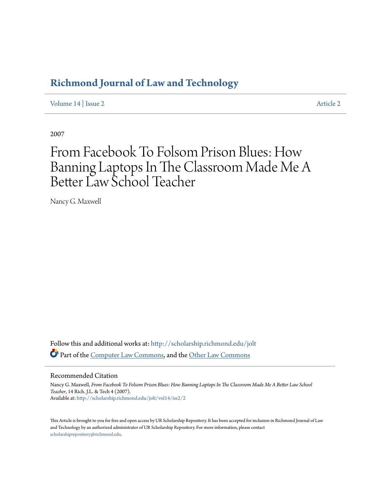## **[Richmond Journal of Law and Technology](http://scholarship.richmond.edu/jolt?utm_source=scholarship.richmond.edu%2Fjolt%2Fvol14%2Fiss2%2F2&utm_medium=PDF&utm_campaign=PDFCoverPages)**

[Volume 14](http://scholarship.richmond.edu/jolt/vol14?utm_source=scholarship.richmond.edu%2Fjolt%2Fvol14%2Fiss2%2F2&utm_medium=PDF&utm_campaign=PDFCoverPages) | [Issue 2](http://scholarship.richmond.edu/jolt/vol14/iss2?utm_source=scholarship.richmond.edu%2Fjolt%2Fvol14%2Fiss2%2F2&utm_medium=PDF&utm_campaign=PDFCoverPages) [Article 2](http://scholarship.richmond.edu/jolt/vol14/iss2/2?utm_source=scholarship.richmond.edu%2Fjolt%2Fvol14%2Fiss2%2F2&utm_medium=PDF&utm_campaign=PDFCoverPages)

2007

# From Facebook To Folsom Prison Blues: How Banning Laptops In The Classroom Made Me A Better Law School Teacher

Nancy G. Maxwell

Follow this and additional works at: [http://scholarship.richmond.edu/jolt](http://scholarship.richmond.edu/jolt?utm_source=scholarship.richmond.edu%2Fjolt%2Fvol14%2Fiss2%2F2&utm_medium=PDF&utm_campaign=PDFCoverPages) Part of the [Computer Law Commons,](http://network.bepress.com/hgg/discipline/837?utm_source=scholarship.richmond.edu%2Fjolt%2Fvol14%2Fiss2%2F2&utm_medium=PDF&utm_campaign=PDFCoverPages) and the [Other Law Commons](http://network.bepress.com/hgg/discipline/621?utm_source=scholarship.richmond.edu%2Fjolt%2Fvol14%2Fiss2%2F2&utm_medium=PDF&utm_campaign=PDFCoverPages)

#### Recommended Citation

Nancy G. Maxwell, *From Facebook To Folsom Prison Blues: How Banning Laptops In The Classroom Made Me A Better Law School Teacher*, 14 Rich. J.L. & Tech 4 (2007). Available at: [http://scholarship.richmond.edu/jolt/vol14/iss2/2](http://scholarship.richmond.edu/jolt/vol14/iss2/2?utm_source=scholarship.richmond.edu%2Fjolt%2Fvol14%2Fiss2%2F2&utm_medium=PDF&utm_campaign=PDFCoverPages)

This Article is brought to you for free and open access by UR Scholarship Repository. It has been accepted for inclusion in Richmond Journal of Law and Technology by an authorized administrator of UR Scholarship Repository. For more information, please contact [scholarshiprepository@richmond.edu.](mailto:scholarshiprepository@richmond.edu)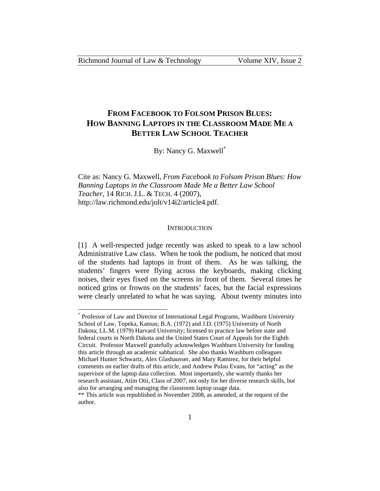$\overline{a}$ 

### **FROM FACEBOOK TO FOLSOM PRISON BLUES: HOW BANNING LAPTOPS IN THE CLASSROOM MADE ME A BETTER LAW SCHOOL TEACHER**

By: Nancy G. Maxwell\*

Cite as: Nancy G. Maxwell, *From Facebook to Folsom Prison Blues: How Banning Laptops in the Classroom Made Me a Better Law School Teacher*, 14 RICH. J.L. & TECH. 4 (2007), http://law.richmond.edu/jolt/v14i2/article4.pdf.

#### **INTRODUCTION**

[1] A well-respected judge recently was asked to speak to a law school Administrative Law class. When he took the podium, he noticed that most of the students had laptops in front of them. As he was talking, the students' fingers were flying across the keyboards, making clicking noises, their eyes fixed on the screens in front of them. Several times he noticed grins or frowns on the students' faces, but the facial expressions were clearly unrelated to what he was saying. About twenty minutes into

<sup>\*</sup> Professor of Law and Director of International Legal Programs, Washburn University School of Law, Topeka, Kansas; B.A. (1972) and J.D. (1975) University of North Dakota; LL.M. (1979) Harvard University; licensed to practice law before state and federal courts in North Dakota and the United States Court of Appeals for the Eighth Circuit. Professor Maxwell gratefully acknowledges Washburn University for funding this article through an academic sabbatical. She also thanks Washburn colleagues Michael Hunter Schwartz, Alex Glashausser, and Mary Ramirez, for their helpful comments on earlier drafts of this article, and Andrew Pulau Evans, for "acting" as the supervisor of the laptop data collection. Most importantly, she warmly thanks her research assistant, Atim Otii, Class of 2007, not only for her diverse research skills, but also for arranging and managing the classroom laptop usage data.

<sup>\*\*</sup> This article was republished in November 2008, as amended, at the request of the author.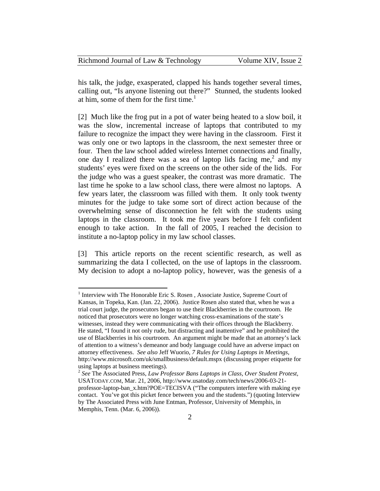| Richmond Journal of Law & Technology | Volume XIV, Issue 2 |
|--------------------------------------|---------------------|
|--------------------------------------|---------------------|

his talk, the judge, exasperated, clapped his hands together several times, calling out, "Is anyone listening out there?" Stunned, the students looked at him, some of them for the first time.<sup>1</sup>

[2] Much like the frog put in a pot of water being heated to a slow boil, it was the slow, incremental increase of laptops that contributed to my failure to recognize the impact they were having in the classroom. First it was only one or two laptops in the classroom, the next semester three or four. Then the law school added wireless Internet connections and finally, one day I realized there was a sea of laptop lids facing me,<sup>2</sup> and my students' eyes were fixed on the screens on the other side of the lids. For the judge who was a guest speaker, the contrast was more dramatic. The last time he spoke to a law school class, there were almost no laptops. A few years later, the classroom was filled with them. It only took twenty minutes for the judge to take some sort of direct action because of the overwhelming sense of disconnection he felt with the students using laptops in the classroom. It took me five years before I felt confident enough to take action. In the fall of 2005, I reached the decision to institute a no-laptop policy in my law school classes.

[3] This article reports on the recent scientific research, as well as summarizing the data I collected, on the use of laptops in the classroom. My decision to adopt a no-laptop policy, however, was the genesis of a

<sup>&</sup>lt;sup>1</sup> Interview with The Honorable Eric S. Rosen, Associate Justice, Supreme Court of Kansas, in Topeka, Kan. (Jan. 22, 2006). Justice Rosen also stated that, when he was a trial court judge, the prosecutors began to use their Blackberries in the courtroom. He noticed that prosecutors were no longer watching cross-examinations of the state's witnesses, instead they were communicating with their offices through the Blackberry. He stated, "I found it not only rude, but distracting and inattentive" and he prohibited the use of Blackberries in his courtroom. An argument might be made that an attorney's lack of attention to a witness's demeanor and body language could have an adverse impact on attorney effectiveness. *See also* Jeff Wuorio, *7 Rules for Using Laptops in Meetings*, http://www.microsoft.com/uk/smallbusiness/default.mspx (discussing proper etiquette for using laptops at business meetings).

<sup>2</sup> *See* The Associated Press, *Law Professor Bans Laptops in Class, Over Student Protest*, USATODAY.COM, Mar. 21, 2006, http://www.usatoday.com/tech/news/2006-03-21 professor-laptop-ban\_x.htm?POE=TECISVA ("The computers interfere with making eye contact. You've got this picket fence between you and the students.") (quoting Interview by The Associated Press with June Entman, Professor, University of Memphis, in Memphis, Tenn. (Mar. 6, 2006)).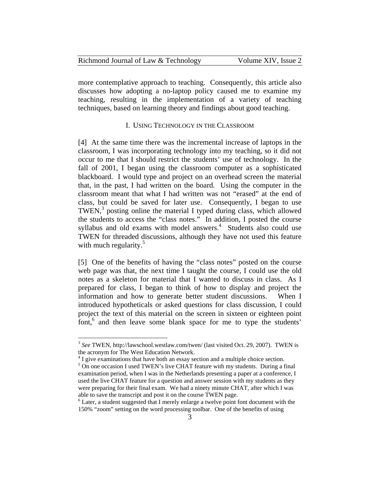| Richmond Journal of Law & Technology | Volume XIV, Issue 2 |
|--------------------------------------|---------------------|
|--------------------------------------|---------------------|

more contemplative approach to teaching. Consequently, this article also discusses how adopting a no-laptop policy caused me to examine my teaching, resulting in the implementation of a variety of teaching techniques, based on learning theory and findings about good teaching.

#### I. USING TECHNOLOGY IN THE CLASSROOM

[4] At the same time there was the incremental increase of laptops in the classroom, I was incorporating technology into my teaching, so it did not occur to me that I should restrict the students' use of technology. In the fall of 2001, I began using the classroom computer as a sophisticated blackboard. I would type and project on an overhead screen the material that, in the past, I had written on the board. Using the computer in the classroom meant that what I had written was not "erased" at the end of class, but could be saved for later use. Consequently, I began to use TWEN,<sup>3</sup> posting online the material I typed during class, which allowed the students to access the "class notes." In addition, I posted the course syllabus and old exams with model answers.<sup>4</sup> Students also could use TWEN for threaded discussions, although they have not used this feature with much regularity. $5$ 

[5] One of the benefits of having the "class notes" posted on the course web page was that, the next time I taught the course, I could use the old notes as a skeleton for material that I wanted to discuss in class. As I prepared for class, I began to think of how to display and project the information and how to generate better student discussions. When I introduced hypotheticals or asked questions for class discussion, I could project the text of this material on the screen in sixteen or eighteen point  $\int_{0}^{\infty}$  and then leave some blank space for me to type the students'

<sup>3</sup> *See* TWEN, http://lawschool.westlaw.com/twen/ (last visited Oct. 29, 2007). TWEN is the acronym for The West Education Network.

<sup>&</sup>lt;sup>4</sup> I give examinations that have both an essay section and a multiple choice section.

<sup>&</sup>lt;sup>5</sup> On one occasion I used TWEN's live CHAT feature with my students. During a final examination period, when I was in the Netherlands presenting a paper at a conference, I used the live CHAT feature for a question and answer session with my students as they were preparing for their final exam. We had a ninety minute CHAT, after which I was able to save the transcript and post it on the course TWEN page.

<sup>&</sup>lt;sup>6</sup> Later, a student suggested that I merely enlarge a twelve point font document with the 150% "zoom" setting on the word processing toolbar. One of the benefits of using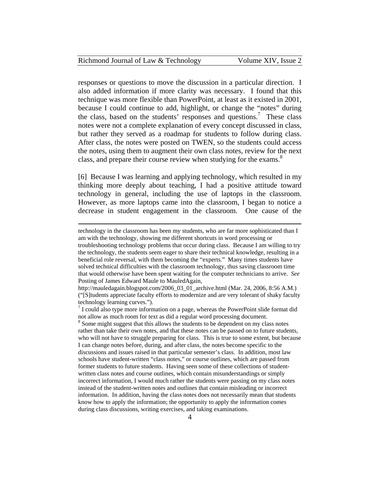| Richmond Journal of Law & Technology | Volume XIV, Issue 2 |
|--------------------------------------|---------------------|
|--------------------------------------|---------------------|

responses or questions to move the discussion in a particular direction. I also added information if more clarity was necessary. I found that this technique was more flexible than PowerPoint, at least as it existed in 2001, because I could continue to add, highlight, or change the "notes" during the class, based on the students' responses and questions.<sup>7</sup> These class notes were not a complete explanation of every concept discussed in class, but rather they served as a roadmap for students to follow during class. After class, the notes were posted on TWEN, so the students could access the notes, using them to augment their own class notes, review for the next class, and prepare their course review when studying for the exams.<sup>8</sup>

[6] Because I was learning and applying technology, which resulted in my thinking more deeply about teaching, I had a positive attitude toward technology in general, including the use of laptops in the classroom. However, as more laptops came into the classroom, I began to notice a decrease in student engagement in the classroom. One cause of the

1

technology in the classroom has been my students, who are far more sophisticated than I am with the technology, showing me different shortcuts in word processing or troubleshooting technology problems that occur during class. Because I am willing to try the technology, the students seem eager to share their technical knowledge, resulting in a beneficial role reversal, with them becoming the "experts." Many times students have solved technical difficulties with the classroom technology, thus saving classroom time that would otherwise have been spent waiting for the computer technicians to arrive. *See* Posting of James Edward Maule to MauledAgain,

http://mauledagain.blogspot.com/2006\_03\_01\_archive.html (Mar. 24, 2006, 8:56 A.M.) ("[S]tudents appreciate faculty efforts to modernize and are very tolerant of shaky faculty technology learning curves.").

<sup>&</sup>lt;sup>7</sup> I could also type more information on a page, whereas the PowerPoint slide format did not allow as much room for text as did a regular word processing document.

<sup>&</sup>lt;sup>8</sup> Some might suggest that this allows the students to be dependent on my class notes rather than take their own notes, and that these notes can be passed on to future students, who will not have to struggle preparing for class. This is true to some extent, but because I can change notes before, during, and after class, the notes become specific to the discussions and issues raised in that particular semester's class. In addition, most law schools have student-written "class notes," or course outlines, which are passed from former students to future students. Having seen some of these collections of studentwritten class notes and course outlines, which contain misunderstandings or simply incorrect information, I would much rather the students were passing on my class notes instead of the student-written notes and outlines that contain misleading or incorrect information. In addition, having the class notes does not necessarily mean that students know how to apply the information; the opportunity to apply the information comes during class discussions, writing exercises, and taking examinations.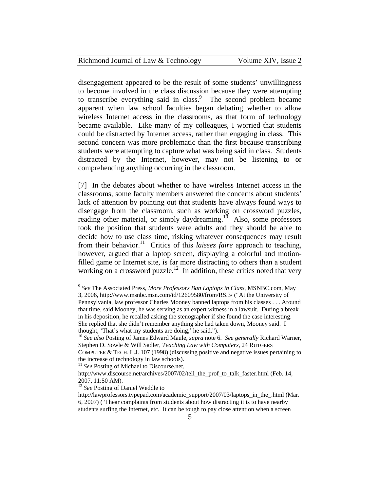#### Richmond Journal of Law & Technology Volume XIV, Issue 2

disengagement appeared to be the result of some students' unwillingness to become involved in the class discussion because they were attempting to transcribe everything said in class.<sup>9</sup> The second problem became apparent when law school faculties began debating whether to allow wireless Internet access in the classrooms, as that form of technology became available. Like many of my colleagues, I worried that students could be distracted by Internet access, rather than engaging in class. This second concern was more problematic than the first because transcribing students were attempting to capture what was being said in class. Students distracted by the Internet, however, may not be listening to or comprehending anything occurring in the classroom.

[7] In the debates about whether to have wireless Internet access in the classrooms, some faculty members answered the concerns about students' lack of attention by pointing out that students have always found ways to disengage from the classroom, such as working on crossword puzzles, reading other material, or simply daydreaming.<sup>10</sup> Also, some professors took the position that students were adults and they should be able to decide how to use class time, risking whatever consequences may result from their behavior.<sup>11</sup> Critics of this *laissez faire* approach to teaching, however, argued that a laptop screen, displaying a colorful and motionfilled game or Internet site, is far more distracting to others than a student working on a crossword puzzle.<sup>12</sup> In addition, these critics noted that very

<u>.</u>

<sup>9</sup> *See* The Associated Press, *More Professors Ban Laptops in Class*, MSNBC.com, May 3, 2006, http://www.msnbc.msn.com/id/12609580/from/RS.3/ ("At the University of Pennsylvania, law professor Charles Mooney banned laptops from his classes . . . Around that time, said Mooney, he was serving as an expert witness in a lawsuit. During a break in his deposition, he recalled asking the stenographer if she found the case interesting. She replied that she didn't remember anything she had taken down, Mooney said. I thought, 'That's what my students are doing,' he said.").

<sup>10</sup> *See also* Posting of James Edward Maule, *supra* note 6. *See generally* Richard Warner, Stephen D. Sowle & Will Sadler, *Teaching Law with Computers*, 24 RUTGERS

COMPUTER & TECH. L.J. 107 (1998) (discussing positive and negative issues pertaining to the increase of technology in law schools).

<sup>&</sup>lt;sup>11</sup> *See* Posting of Michael to Discourse.net,

http://www.discourse.net/archives/2007/02/tell\_the\_prof\_to\_talk\_faster.html (Feb. 14, 2007, 11:50 AM).

<sup>&</sup>lt;sup>12</sup> See Posting of Daniel Weddle to

http://lawprofessors.typepad.com/academic\_support/2007/03/laptops\_in\_the\_.html (Mar. 6, 2007) ("I hear complaints from students about how distracting it is to have nearby students surfing the Internet, etc. It can be tough to pay close attention when a screen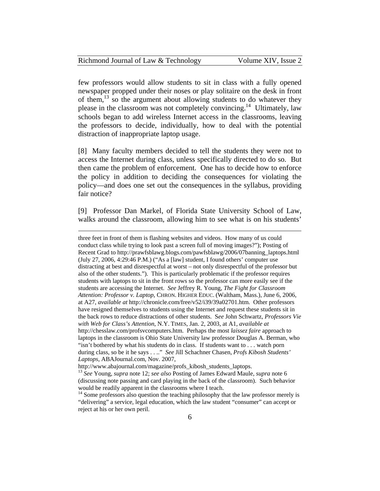| Richmond Journal of Law & Technology | Volume XIV, Issue 2 |
|--------------------------------------|---------------------|
|--------------------------------------|---------------------|

few professors would allow students to sit in class with a fully opened newspaper propped under their noses or play solitaire on the desk in front of them,13 so the argument about allowing students to do whatever they please in the classroom was not completely convincing.<sup>14</sup> Ultimately, law schools began to add wireless Internet access in the classrooms, leaving the professors to decide, individually, how to deal with the potential distraction of inappropriate laptop usage.

[8] Many faculty members decided to tell the students they were not to access the Internet during class, unless specifically directed to do so. But then came the problem of enforcement. One has to decide how to enforce the policy in addition to deciding the consequences for violating the policy—and does one set out the consequences in the syllabus, providing fair notice?

[9] Professor Dan Markel, of Florida State University School of Law, walks around the classroom, allowing him to see what is on his students'

three feet in front of them is flashing websites and videos. How many of us could conduct class while trying to look past a screen full of moving images?"); Posting of Recent Grad to http://prawfsblawg.blogs.com/pawfsblawg/2006/07banning\_laptops.html (July 27, 2006, 4:29:46 P.M.) ("As a [law] student, I found others' computer use distracting at best and disrespectful at worst – not only disrespectful of the professor but also of the other students."). This is particularly problematic if the professor requires students with laptops to sit in the front rows so the professor can more easily see if the students are accessing the Internet. *See* Jeffrey R. Young, *The Fight for Classroom Attention: Professor v. Laptop*, CHRON. HIGHER EDUC. (Waltham, Mass.), June 6, 2006, at A27, *available at* http://chronicle.com/free/v52/i39/39a02701.htm. Other professors have resigned themselves to students using the Internet and request these students sit in the back rows to reduce distractions of other students. S*ee* John Schwartz*, Professors Vie with Web for Class's Attention*, N.Y. TIMES, Jan. 2, 2003, at A1, *available at* http://chesslaw.com/profsvcomputers.htm. Perhaps the most *laissez faire* approach to laptops in the classroom is Ohio State University law professor Douglas A. Berman, who "isn't bothered by what his students do in class. If students want to . . . watch porn during class, so be it he says . . .." *See* Jill Schachner Chasen, *Profs Kibosh Students' Laptops*, ABAJournal.com, Nov. 2007,

<sup>&</sup>lt;sup>13</sup> See Young, *supra* note 12; *see also* Posting of James Edward Maule, *supra* note 6 (discussing note passing and card playing in the back of the classroom). Such behavior would be readily apparent in the classrooms where I teach.

<sup>&</sup>lt;sup>14</sup> Some professors also question the teaching philosophy that the law professor merely is "delivering" a service, legal education, which the law student "consumer" can accept or reject at his or her own peril.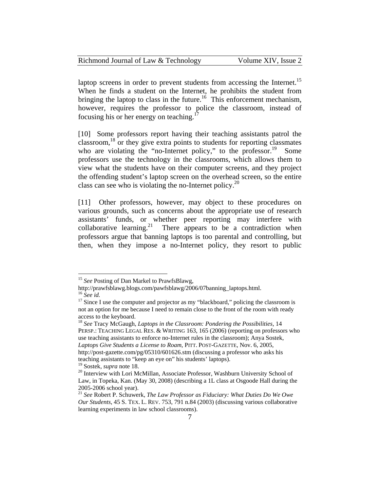| Richmond Journal of Law & Technology | Volume XIV, Issue 2 |
|--------------------------------------|---------------------|
|--------------------------------------|---------------------|

laptop screens in order to prevent students from accessing the Internet.<sup>15</sup> When he finds a student on the Internet, he prohibits the student from bringing the laptop to class in the future.<sup>16</sup> This enforcement mechanism, however, requires the professor to police the classroom, instead of focusing his or her energy on teaching.<sup>1</sup>

[10] Some professors report having their teaching assistants patrol the classroom,  $^{18}$  or they give extra points to students for reporting classmates who are violating the "no-Internet policy," to the professor.<sup>19</sup> Some professors use the technology in the classrooms, which allows them to view what the students have on their computer screens, and they project the offending student's laptop screen on the overhead screen, so the entire class can see who is violating the no-Internet policy.<sup>20</sup>

[11] Other professors, however, may object to these procedures on various grounds, such as concerns about the appropriate use of research assistants' funds, or whether peer reporting may interfere with collaborative learning.<sup>21</sup> There appears to be a contradiction when professors argue that banning laptops is too parental and controlling, but then, when they impose a no-Internet policy, they resort to public

<sup>&</sup>lt;sup>15</sup> See Posting of Dan Markel to PrawfsBlawg,

http://prawfsblawg.blogs.com/pawfsblawg/2006/07banning\_laptops.html.<br><sup>16</sup> See id.

<sup>&</sup>lt;sup>17</sup> Since I use the computer and projector as my "blackboard," policing the classroom is not an option for me because I need to remain close to the front of the room with ready access to the keyboard.

<sup>18</sup> *See* Tracy McGaugh, *Laptops in the Classroom: Pondering the Possibilities*, 14 PERSP.: TEACHING LEGAL RES. & WRITING 163, 165 (2006) (reporting on professors who use teaching assistants to enforce no-Internet rules in the classroom); Anya Sostek, *Laptops Give Students a License to Roam*, PITT. POST-GAZETTE, Nov. 6, 2005, http://post-gazette.com/pg/05310/601626.stm (discussing a professor who asks his teaching assistants to "keep an eye on" his students' laptops).<br><sup>19</sup> Sostek, *supra* note 18.

<sup>&</sup>lt;sup>20</sup> Interview with Lori McMillan, Associate Professor, Washburn University School of Law, in Topeka, Kan. (May 30, 2008) (describing a 1L class at Osgoode Hall during the 2005-2006 school year).

<sup>21</sup> *See* Robert P. Schuwerk, *The Law Professor as Fiduciary: What Duties Do We Owe Our Students*, 45 S. TEX. L. REV. 753, 791 n.84 (2003) (discussing various collaborative learning experiments in law school classrooms).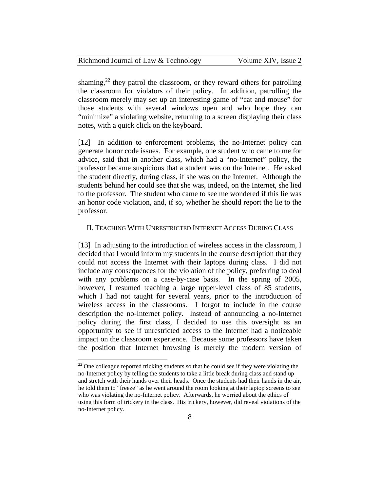| Richmond Journal of Law & Technology | Volume XIV, Issue 2 |
|--------------------------------------|---------------------|
|--------------------------------------|---------------------|

shaming,<sup>22</sup> they patrol the classroom, or they reward others for patrolling the classroom for violators of their policy. In addition, patrolling the classroom merely may set up an interesting game of "cat and mouse" for those students with several windows open and who hope they can "minimize" a violating website, returning to a screen displaying their class notes, with a quick click on the keyboard.

[12] In addition to enforcement problems, the no-Internet policy can generate honor code issues. For example, one student who came to me for advice, said that in another class, which had a "no-Internet" policy, the professor became suspicious that a student was on the Internet. He asked the student directly, during class, if she was on the Internet. Although the students behind her could see that she was, indeed, on the Internet, she lied to the professor. The student who came to see me wondered if this lie was an honor code violation, and, if so, whether he should report the lie to the professor.

#### II. TEACHING WITH UNRESTRICTED INTERNET ACCESS DURING CLASS

[13] In adjusting to the introduction of wireless access in the classroom, I decided that I would inform my students in the course description that they could not access the Internet with their laptops during class. I did not include any consequences for the violation of the policy, preferring to deal with any problems on a case-by-case basis. In the spring of 2005, however, I resumed teaching a large upper-level class of 85 students, which I had not taught for several years, prior to the introduction of wireless access in the classrooms. I forgot to include in the course description the no-Internet policy. Instead of announcing a no-Internet policy during the first class, I decided to use this oversight as an opportunity to see if unrestricted access to the Internet had a noticeable impact on the classroom experience. Because some professors have taken the position that Internet browsing is merely the modern version of

 $22$  One colleague reported tricking students so that he could see if they were violating the no-Internet policy by telling the students to take a little break during class and stand up and stretch with their hands over their heads. Once the students had their hands in the air, he told them to "freeze" as he went around the room looking at their laptop screens to see who was violating the no-Internet policy. Afterwards, he worried about the ethics of using this form of trickery in the class. His trickery, however, did reveal violations of the no-Internet policy.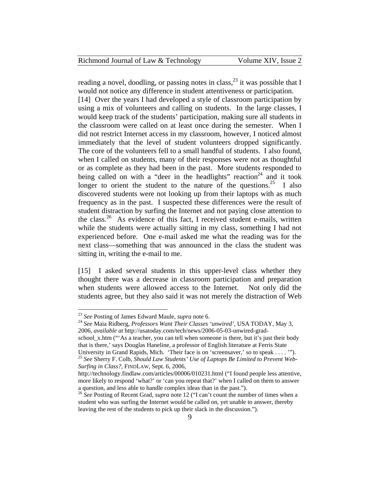| Richmond Journal of Law & Technology | Volume XIV, Issue 2 |
|--------------------------------------|---------------------|
|--------------------------------------|---------------------|

reading a novel, doodling, or passing notes in class,  $2<sup>3</sup>$  it was possible that I would not notice any difference in student attentiveness or participation. [14] Over the years I had developed a style of classroom participation by using a mix of volunteers and calling on students. In the large classes, I would keep track of the students' participation, making sure all students in the classroom were called on at least once during the semester. When I did not restrict Internet access in my classroom, however, I noticed almost immediately that the level of student volunteers dropped significantly. The core of the volunteers fell to a small handful of students. I also found, when I called on students, many of their responses were not as thoughtful or as complete as they had been in the past. More students responded to being called on with a "deer in the headlights" reaction<sup>24</sup> and it took longer to orient the student to the nature of the questions.<sup>25</sup> I also discovered students were not looking up from their laptops with as much frequency as in the past. I suspected these differences were the result of student distraction by surfing the Internet and not paying close attention to the class.<sup>26</sup> As evidence of this fact, I received student e-mails, written while the students were actually sitting in my class, something I had not experienced before. One e-mail asked me what the reading was for the next class—something that was announced in the class the student was sitting in, writing the e-mail to me.

[15] I asked several students in this upper-level class whether they thought there was a decrease in classroom participation and preparation when students were allowed access to the Internet. Not only did the students agree, but they also said it was not merely the distraction of Web

 $\overline{a}$ 

school\_x.htm ("'As a teacher, you can tell when someone is there, but it's just their body that is there,' says Douglas Haneline, a professor of English literature at Ferris State

<sup>23</sup> *See* Posting of James Edward Maule, *supra* note 6. 24 *See* Maia Ridberg*, Professors Want Their Classes 'unwired'*, USA TODAY, May 3, 2006, *available at* http://usatoday.com/tech/news/2006-05-03-unwired-grad-

University in Grand Rapids, Mich. 'Their face is on 'screensaver,' so to speak . . . . '").<br><sup>25</sup> *See* Sherry F. Colb, *Should Law Students' Use of Laptops Be Limited to Prevent Web-Surfing in Class?*, FINDLAW, Sept. 6, 2006,

http://technology.findlaw.com/articles/00006/010231.html ("I found people less attentive, more likely to respond 'what?' or 'can you repeat that?' when I called on them to answer a question, and less able to handle complex ideas than in the past.").

<sup>&</sup>lt;sup>26</sup> See Posting of Recent Grad, *supra* note 12 ("I can't count the number of times when a student who was surfing the Internet would be called on, yet unable to answer, thereby leaving the rest of the students to pick up their slack in the discussion.").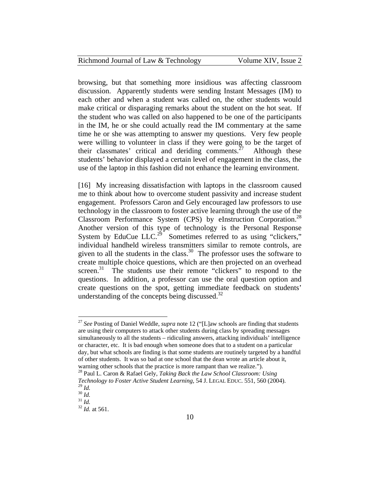| Richmond Journal of Law & Technology | Volume XIV, Issue 2 |
|--------------------------------------|---------------------|
|--------------------------------------|---------------------|

browsing, but that something more insidious was affecting classroom discussion. Apparently students were sending Instant Messages (IM) to each other and when a student was called on, the other students would make critical or disparaging remarks about the student on the hot seat. If the student who was called on also happened to be one of the participants in the IM, he or she could actually read the IM commentary at the same time he or she was attempting to answer my questions. Very few people were willing to volunteer in class if they were going to be the target of their classmates' critical and deriding comments.<sup>27</sup> Although these students' behavior displayed a certain level of engagement in the class, the use of the laptop in this fashion did not enhance the learning environment.

[16] My increasing dissatisfaction with laptops in the classroom caused me to think about how to overcome student passivity and increase student engagement. Professors Caron and Gely encouraged law professors to use technology in the classroom to foster active learning through the use of the Classroom Performance System (CPS) by eInstruction Corporation.<sup>28</sup> Another version of this type of technology is the Personal Response System by EduCue LLC.<sup>29</sup> Sometimes referred to as using "clickers," individual handheld wireless transmitters similar to remote controls, are given to all the students in the class.<sup>30</sup> The professor uses the software to create multiple choice questions, which are then projected on an overhead screen.<sup>31</sup> The students use their remote "clickers" to respond to the questions. In addition, a professor can use the oral question option and create questions on the spot, getting immediate feedback on students' understanding of the concepts being discussed. $32$ 

<sup>27</sup> *See* Posting of Daniel Weddle, *supra* note 12 ("[L]aw schools are finding that students are using their computers to attack other students during class by spreading messages simultaneously to all the students – ridiculing answers, attacking individuals' intelligence or character, etc. It is bad enough when someone does that to a student on a particular day, but what schools are finding is that some students are routinely targeted by a handful of other students. It was so bad at one school that the dean wrote an article about it,

warning other schools that the practice is more rampant than we realize."). 28 Paul L. Caron & Rafael Gely, *Taking Back the Law School Classroom: Using Technology to Foster Active Student Learning*, 54 J. LEGAL EDUC. 551, 560 (2004).

<sup>29</sup> *Id.* <sup>30</sup> *Id.* <sup>31</sup> *Id.*<sup>32</sup> *Id.* at 561.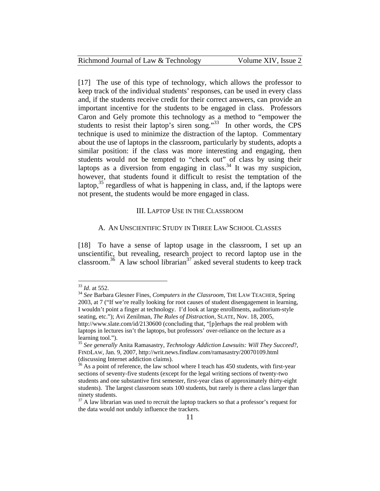| Richmond Journal of Law & Technology | Volume XIV, Issue 2 |
|--------------------------------------|---------------------|
|--------------------------------------|---------------------|

[17] The use of this type of technology, which allows the professor to keep track of the individual students' responses, can be used in every class and, if the students receive credit for their correct answers, can provide an important incentive for the students to be engaged in class. Professors Caron and Gely promote this technology as a method to "empower the students to resist their laptop's siren song." $33$  In other words, the CPS technique is used to minimize the distraction of the laptop. Commentary about the use of laptops in the classroom, particularly by students, adopts a similar position: if the class was more interesting and engaging, then students would not be tempted to "check out" of class by using their laptops as a diversion from engaging in class.<sup>34</sup> It was my suspicion, however, that students found it difficult to resist the temptation of the laptop, $35$  regardless of what is happening in class, and, if the laptops were not present, the students would be more engaged in class.

#### III. LAPTOP USE IN THE CLASSROOM

#### A. AN UNSCIENTIFIC STUDY IN THREE LAW SCHOOL CLASSES

[18] To have a sense of laptop usage in the classroom, I set up an unscientific, but revealing, research project to record laptop use in the classroom.<sup>36</sup> A law school librarian<sup>37</sup> asked several students to keep track

<u>.</u>

<sup>33</sup> *Id*. at 552. 34 *See* Barbara Glesner Fines, *Computers in the Classroom*, THE LAW TEACHER, Spring 2003, at 7 ("If we're really looking for root causes of student disengagement in learning, I wouldn't point a finger at technology. I'd look at large enrollments, auditorium-style seating, etc."); Avi Zenilman, *The Rules of Distraction*, SLATE, Nov. 18, 2005, http://www.slate.com/id/2130600 (concluding that, "[p]erhaps the real problem with laptops in lectures isn't the laptops, but professors' over-reliance on the lecture as a learning tool.").

<sup>35</sup> *See generally* Anita Ramasastry, *Technology Addiction Lawsuits: Will They Succeed*?, FINDLAW, Jan. 9, 2007, http://writ.news.findlaw.com/ramasastry/20070109.html (discussing Internet addiction claims).

 $36$  As a point of reference, the law school where I teach has 450 students, with first-year sections of seventy-five students (except for the legal writing sections of twenty-two students and one substantive first semester, first-year class of approximately thirty-eight students). The largest classroom seats 100 students, but rarely is there a class larger than ninety students.

 $37$  A law librarian was used to recruit the laptop trackers so that a professor's request for the data would not unduly influence the trackers.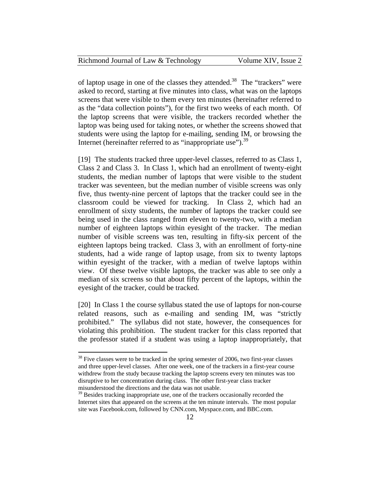|  | Richmond Journal of Law & Technology |  |
|--|--------------------------------------|--|
|  |                                      |  |

Volume XIV, Issue 2

of laptop usage in one of the classes they attended.<sup>38</sup> The "trackers" were asked to record, starting at five minutes into class, what was on the laptops screens that were visible to them every ten minutes (hereinafter referred to as the "data collection points"), for the first two weeks of each month. Of the laptop screens that were visible, the trackers recorded whether the laptop was being used for taking notes, or whether the screens showed that students were using the laptop for e-mailing, sending IM, or browsing the Internet (hereinafter referred to as "inappropriate use").<sup>39</sup>

[19] The students tracked three upper-level classes, referred to as Class 1, Class 2 and Class 3. In Class 1, which had an enrollment of twenty-eight students, the median number of laptops that were visible to the student tracker was seventeen, but the median number of visible screens was only five, thus twenty-nine percent of laptops that the tracker could see in the classroom could be viewed for tracking. In Class 2, which had an enrollment of sixty students, the number of laptops the tracker could see being used in the class ranged from eleven to twenty-two, with a median number of eighteen laptops within eyesight of the tracker. The median number of visible screens was ten, resulting in fifty-six percent of the eighteen laptops being tracked. Class 3, with an enrollment of forty-nine students, had a wide range of laptop usage, from six to twenty laptops within eyesight of the tracker, with a median of twelve laptops within view. Of these twelve visible laptops, the tracker was able to see only a median of six screens so that about fifty percent of the laptops, within the eyesight of the tracker, could be tracked.

[20] In Class 1 the course syllabus stated the use of laptops for non-course related reasons, such as e-mailing and sending IM, was "strictly prohibited." The syllabus did not state, however, the consequences for violating this prohibition. The student tracker for this class reported that the professor stated if a student was using a laptop inappropriately, that

 $38$  Five classes were to be tracked in the spring semester of 2006, two first-year classes and three upper-level classes. After one week, one of the trackers in a first-year course withdrew from the study because tracking the laptop screens every ten minutes was too disruptive to her concentration during class. The other first-year class tracker misunderstood the directions and the data was not usable.

 $39$  Besides tracking inappropriate use, one of the trackers occasionally recorded the Internet sites that appeared on the screens at the ten minute intervals. The most popular site was Facebook.com, followed by CNN.com, Myspace.com, and BBC.com.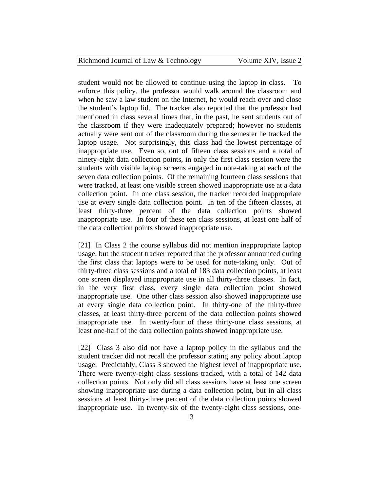| Richmond Journal of Law & Technology | Volume XIV, Issue 2 |
|--------------------------------------|---------------------|
|--------------------------------------|---------------------|

student would not be allowed to continue using the laptop in class. To enforce this policy, the professor would walk around the classroom and when he saw a law student on the Internet, he would reach over and close the student's laptop lid. The tracker also reported that the professor had mentioned in class several times that, in the past, he sent students out of the classroom if they were inadequately prepared; however no students actually were sent out of the classroom during the semester he tracked the laptop usage. Not surprisingly, this class had the lowest percentage of inappropriate use. Even so, out of fifteen class sessions and a total of ninety-eight data collection points, in only the first class session were the students with visible laptop screens engaged in note-taking at each of the seven data collection points. Of the remaining fourteen class sessions that were tracked, at least one visible screen showed inappropriate use at a data collection point. In one class session, the tracker recorded inappropriate use at every single data collection point. In ten of the fifteen classes, at least thirty-three percent of the data collection points showed inappropriate use. In four of these ten class sessions, at least one half of the data collection points showed inappropriate use.

[21] In Class 2 the course syllabus did not mention inappropriate laptop usage, but the student tracker reported that the professor announced during the first class that laptops were to be used for note-taking only. Out of thirty-three class sessions and a total of 183 data collection points, at least one screen displayed inappropriate use in all thirty-three classes. In fact, in the very first class, every single data collection point showed inappropriate use. One other class session also showed inappropriate use at every single data collection point. In thirty-one of the thirty-three classes, at least thirty-three percent of the data collection points showed inappropriate use. In twenty-four of these thirty-one class sessions, at least one-half of the data collection points showed inappropriate use.

[22] Class 3 also did not have a laptop policy in the syllabus and the student tracker did not recall the professor stating any policy about laptop usage. Predictably, Class 3 showed the highest level of inappropriate use. There were twenty-eight class sessions tracked, with a total of 142 data collection points. Not only did all class sessions have at least one screen showing inappropriate use during a data collection point, but in all class sessions at least thirty-three percent of the data collection points showed inappropriate use. In twenty-six of the twenty-eight class sessions, one-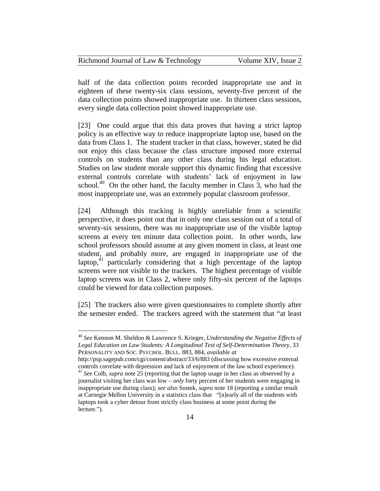| Richmond Journal of Law & Technology | Volume XIV, Issue 2 |
|--------------------------------------|---------------------|
|--------------------------------------|---------------------|

half of the data collection points recorded inappropriate use and in eighteen of these twenty-six class sessions, seventy-five percent of the data collection points showed inappropriate use. In thirteen class sessions, every single data collection point showed inappropriate use.

[23] One could argue that this data proves that having a strict laptop policy is an effective way to reduce inappropriate laptop use, based on the data from Class 1. The student tracker in that class, however, stated he did not enjoy this class because the class structure imposed more external controls on students than any other class during his legal education. Studies on law student morale support this dynamic finding that excessive external controls correlate with students' lack of enjoyment in law school.<sup>40</sup> On the other hand, the faculty member in Class 3, who had the most inappropriate use, was an extremely popular classroom professor.

[24] Although this tracking is highly unreliable from a scientific perspective, it does point out that in only one class session out of a total of seventy-six sessions, there was no inappropriate use of the visible laptop screens at every ten minute data collection point. In other words, law school professors should assume at any given moment in class, at least one student, and probably more, are engaged in inappropriate use of the laptop,<sup>41</sup> particularly considering that a high percentage of the laptop screens were not visible to the trackers. The highest percentage of visible laptop screens was in Class 2, where only fifty-six percent of the laptops could be viewed for data collection purposes.

[25] The trackers also were given questionnaires to complete shortly after the semester ended. The trackers agreed with the statement that "at least

<sup>40</sup> *See* Kennon M. Sheldon & Lawrence S. Krieger, *Understanding the Negative Effects of Legal Education on Law Students: A Longitudinal Test of Self-Determination Theory*, 33 PERSONALITY AND SOC. PSYCHOL. BULL. 883, 884, *available at*

http://psp.sagepub.com/cgi/content/abstract/33/6/883 (discussing how excessive external controls correlate with depression and lack of enjoyment of the law school experience). 41 *See* Colb*, supra* note 25 (reporting that the laptop usage in her class as observed by a journalist visiting her class was low – *only* forty percent of her students were engaging in inappropriate use during class); *see also* Sostek, *supra* note 18 (reporting a similar result at Carnegie Mellon University in a statistics class that "[n]early all of the students with

laptops took a cyber detour from strictly class business at some point during the lecture.").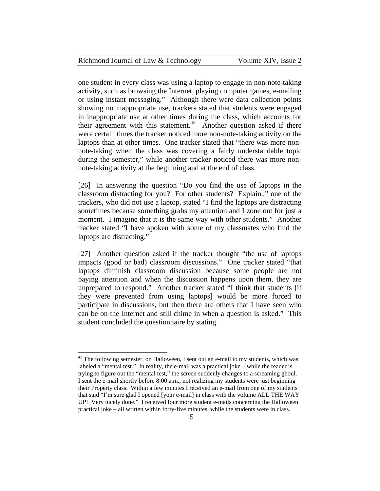| Richmond Journal of Law & Technology | Volume XIV, Issue 2 |
|--------------------------------------|---------------------|
|--------------------------------------|---------------------|

one student in every class was using a laptop to engage in non-note-taking activity, such as browsing the Internet, playing computer games, e-mailing or using instant messaging." Although there were data collection points showing no inappropriate use, trackers stated that students were engaged in inappropriate use at other times during the class, which accounts for their agreement with this statement.<sup>42</sup> Another question asked if there were certain times the tracker noticed more non-note-taking activity on the laptops than at other times. One tracker stated that "there was more nonnote-taking when the class was covering a fairly understandable topic during the semester," while another tracker noticed there was more nonnote-taking activity at the beginning and at the end of class.

[26] In answering the question "Do you find the use of laptops in the classroom distracting for you? For other students? Explain.," one of the trackers, who did not use a laptop, stated "I find the laptops are distracting sometimes because something grabs my attention and I zone out for just a moment. I imagine that it is the same way with other students." Another tracker stated "I have spoken with some of my classmates who find the laptops are distracting."

[27] Another question asked if the tracker thought "the use of laptops impacts (good or bad) classroom discussions." One tracker stated "that laptops diminish classroom discussion because some people are not paying attention and when the discussion happens upon them, they are unprepared to respond." Another tracker stated "I think that students [if they were prevented from using laptops] would be more forced to participate in discussions, but then there are others that I have seen who can be on the Internet and still chime in when a question is asked." This student concluded the questionnaire by stating

 $42$  The following semester, on Halloween, I sent out an e-mail to my students, which was labeled a "mental test." In reality, the e-mail was a practical joke – while the reader is trying to figure out the "mental test," the screen suddenly changes to a screaming ghoul. I sent the e-mail shortly before 8:00 a.m., not realizing my students were just beginning their Property class. Within a few minutes I received an e-mail from one of my students that said "I'm sure glad I opened [your e-mail] in class with the volume ALL THE WAY UP! Very nicely done." I received four more student e-mails concerning the Halloween practical joke – all written within forty-five minutes, while the students were in class.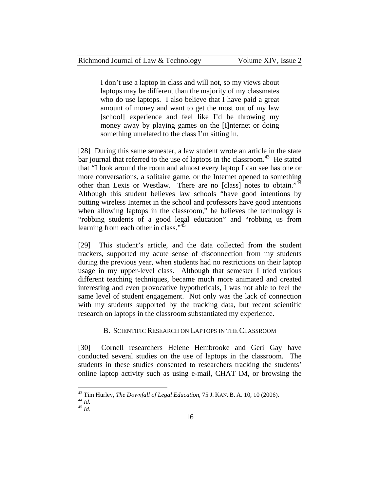I don't use a laptop in class and will not, so my views about laptops may be different than the majority of my classmates who do use laptops. I also believe that I have paid a great amount of money and want to get the most out of my law [school] experience and feel like I'd be throwing my money away by playing games on the [I]nternet or doing something unrelated to the class I'm sitting in.

[28] During this same semester, a law student wrote an article in the state bar journal that referred to the use of laptops in the classroom.<sup>43</sup> He stated that "I look around the room and almost every laptop I can see has one or more conversations, a solitaire game, or the Internet opened to something other than Lexis or Westlaw. There are no [class] notes to obtain."<sup>44</sup> Although this student believes law schools "have good intentions by putting wireless Internet in the school and professors have good intentions when allowing laptops in the classroom," he believes the technology is "robbing students of a good legal education" and "robbing us from learning from each other in class."<sup>45</sup>

[29] This student's article, and the data collected from the student trackers, supported my acute sense of disconnection from my students during the previous year, when students had no restrictions on their laptop usage in my upper-level class. Although that semester I tried various different teaching techniques, became much more animated and created interesting and even provocative hypotheticals, I was not able to feel the same level of student engagement. Not only was the lack of connection with my students supported by the tracking data, but recent scientific research on laptops in the classroom substantiated my experience.

#### B. SCIENTIFIC RESEARCH ON LAPTOPS IN THE CLASSROOM

[30] Cornell researchers Helene Hembrooke and Geri Gay have conducted several studies on the use of laptops in the classroom. The students in these studies consented to researchers tracking the students' online laptop activity such as using e-mail, CHAT IM, or browsing the

<sup>43</sup> Tim Hurley, *The Downfall of Legal Education*, 75 J. KAN. B. A. 10, 10 (2006). 44 *Id.* <sup>45</sup> *Id.*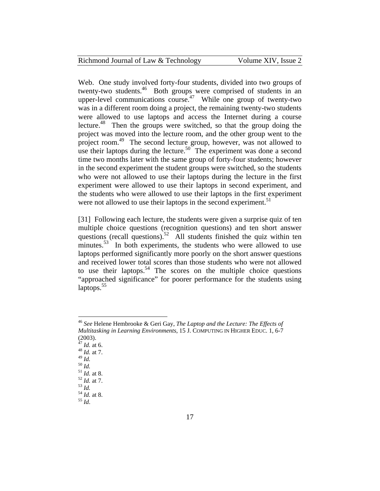| Richmond Journal of Law & Technology | Volume XIV, Issue 2 |
|--------------------------------------|---------------------|
|--------------------------------------|---------------------|

Web. One study involved forty-four students, divided into two groups of twenty-two students.<sup>46</sup> Both groups were comprised of students in an upper-level communications course.<sup>47</sup> While one group of twenty-two was in a different room doing a project, the remaining twenty-two students were allowed to use laptops and access the Internet during a course lecture.<sup>48</sup> Then the groups were switched, so that the group doing the project was moved into the lecture room, and the other group went to the project room.<sup>49</sup> The second lecture group, however, was not allowed to use their laptops during the lecture.<sup>50</sup> The experiment was done a second time two months later with the same group of forty-four students; however in the second experiment the student groups were switched, so the students who were not allowed to use their laptops during the lecture in the first experiment were allowed to use their laptops in second experiment, and the students who were allowed to use their laptops in the first experiment were not allowed to use their laptops in the second experiment.<sup>51</sup>

[31] Following each lecture, the students were given a surprise quiz of ten multiple choice questions (recognition questions) and ten short answer questions (recall questions).<sup>52</sup> All students finished the quiz within ten minutes.<sup>53</sup> In both experiments, the students who were allowed to use laptops performed significantly more poorly on the short answer questions and received lower total scores than those students who were not allowed to use their laptops.<sup>54</sup> The scores on the multiple choice questions "approached significance" for poorer performance for the students using  $\{$ laptops. $55$ 

<sup>46</sup> *See* Helene Hembrooke & Geri Gay, *The Laptop and the Lecture: The Effects of Multitasking in Learning Environments*, 15 J. COMPUTING IN HIGHER EDUC. 1, 6-7  $(2003)$ .<br><sup>47</sup> *Id.* at 6.

<sup>&</sup>lt;sup>48</sup> *Id.* at 7.<br><sup>49</sup> *Id.* 

<sup>49</sup> *Id.* 50 *Id.* 51 *Id.* at 8. 52 *Id.* at 7. 53 *Id.* 54 *Id.* at 8. 55 *Id*.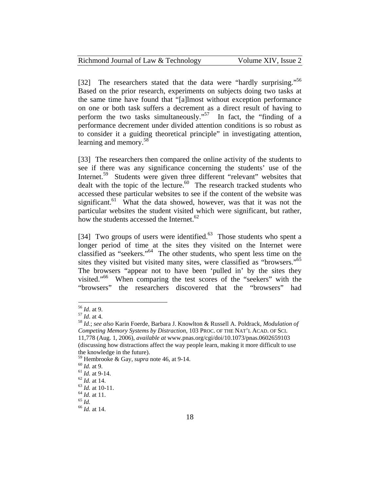[32] The researchers stated that the data were "hardly surprising."<sup>56</sup> Based on the prior research, experiments on subjects doing two tasks at the same time have found that "[a]lmost without exception performance on one or both task suffers a decrement as a direct result of having to perform the two tasks simultaneously."<sup>57</sup> In fact, the "finding of a performance decrement under divided attention conditions is so robust as to consider it a guiding theoretical principle" in investigating attention, learning and memory.<sup>58</sup>

[33] The researchers then compared the online activity of the students to see if there was any significance concerning the students' use of the Internet.<sup>59</sup> Students were given three different "relevant" websites that dealt with the topic of the lecture. $60$  The research tracked students who accessed these particular websites to see if the content of the website was significant.<sup>61</sup> What the data showed, however, was that it was not the particular websites the student visited which were significant, but rather, how the students accessed the Internet.<sup>62</sup>

[34] Two groups of users were identified.<sup>63</sup> Those students who spent a longer period of time at the sites they visited on the Internet were classified as "seekers."<sup>64</sup> The other students, who spent less time on the sites they visited but visited many sites, were classified as "browsers."<sup>65</sup> The browsers "appear not to have been 'pulled in' by the sites they visited."66 When comparing the test scores of the "seekers" with the "browsers" the researchers discovered that the "browsers" had

 $56$  *Id.* at 9.

<sup>56</sup> *Id*. at 9. 57 *Id*. at 4. 58 *Id.*; *see also* Karin Foerde, Barbara J. Knowlton & Russell A. Poldrack, *Modulation of Competing Memory Systems by Distraction*, 103 PROC. OF THE NAT'L ACAD. OF SCI. 11,778 (Aug. 1, 2006), *available at* www.pnas.org/cgi/doi/10.1073/pnas.0602659103 (discussing how distractions affect the way people learn, making it more difficult to use the knowledge in the future).

<sup>59</sup> Hembrooke & Gay, *supra* note 46, at 9-14.<br>
60 *Id.* at 9.<br>
61 *Id.* at 9-14.<br>
62 *Id.* at 14.<br>
63 *Id.* at 10-11.<br>
64 *Id.* at 11.<br>
65 *Id.*<br>
66 *Id.* at 14.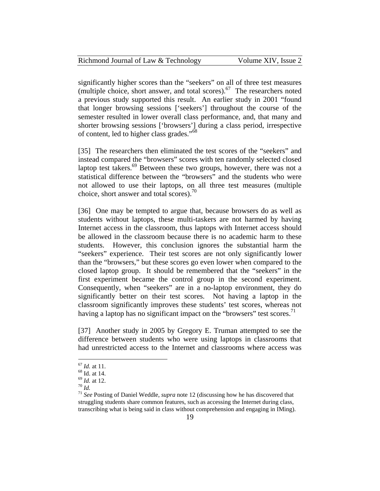| Richmond Journal of Law & Technology | Volume XIV, Issue 2 |
|--------------------------------------|---------------------|
|--------------------------------------|---------------------|

significantly higher scores than the "seekers" on all of three test measures (multiple choice, short answer, and total scores).<sup>67</sup> The researchers noted a previous study supported this result. An earlier study in 2001 "found that longer browsing sessions ['seekers'] throughout the course of the semester resulted in lower overall class performance, and, that many and shorter browsing sessions ['browsers'] during a class period, irrespective of content, led to higher class grades."<sup>68</sup>

[35] The researchers then eliminated the test scores of the "seekers" and instead compared the "browsers" scores with ten randomly selected closed laptop test takers.<sup>69</sup> Between these two groups, however, there was not a statistical difference between the "browsers" and the students who were not allowed to use their laptops, on all three test measures (multiple choice, short answer and total scores). $\frac{70}{2}$ 

[36] One may be tempted to argue that, because browsers do as well as students without laptops, these multi-taskers are not harmed by having Internet access in the classroom, thus laptops with Internet access should be allowed in the classroom because there is no academic harm to these students. However, this conclusion ignores the substantial harm the "seekers" experience. Their test scores are not only significantly lower than the "browsers," but these scores go even lower when compared to the closed laptop group. It should be remembered that the "seekers" in the first experiment became the control group in the second experiment. Consequently, when "seekers" are in a no-laptop environment, they do significantly better on their test scores. Not having a laptop in the classroom significantly improves these students' test scores, whereas not having a laptop has no significant impact on the "browsers" test scores.<sup>71</sup>

[37] Another study in 2005 by Gregory E. Truman attempted to see the difference between students who were using laptops in classrooms that had unrestricted access to the Internet and classrooms where access was

 $67$  *Id.* at 11.

 $^{68}$  Id. at 14.<br> $^{69}$  *Id.* at 12.

<sup>70</sup> *Id.*<br><sup>70</sup> *Id.*<br><sup>71</sup> *See* Posting of Daniel Weddle, *supra* note 12 (discussing how he has discovered that struggling students share common features, such as accessing the Internet during class, transcribing what is being said in class without comprehension and engaging in IMing).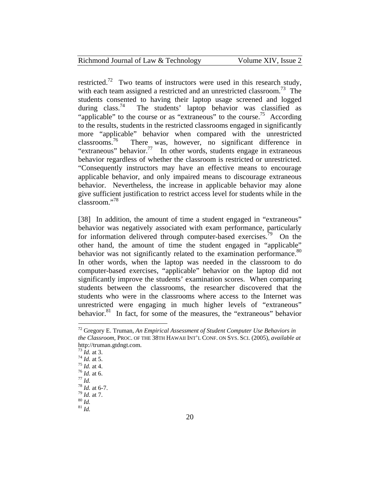| Richmond Journal of Law & Technology | Volume XIV, Issue 2 |
|--------------------------------------|---------------------|
|--------------------------------------|---------------------|

restricted.<sup>72</sup> Two teams of instructors were used in this research study, with each team assigned a restricted and an unrestricted classroom.<sup>73</sup> The students consented to having their laptop usage screened and logged during class.<sup>74</sup> The students' laptop behavior was classified as The students' laptop behavior was classified as "applicable" to the course or as "extraneous" to the course.<sup>75</sup> According to the results, students in the restricted classrooms engaged in significantly more "applicable" behavior when compared with the unrestricted classrooms.<sup>76</sup> There was, however, no significant difference in "extraneous" behavior.<sup>77</sup> In other words, students engage in extraneous behavior regardless of whether the classroom is restricted or unrestricted. "Consequently instructors may have an effective means to encourage applicable behavior, and only impaired means to discourage extraneous behavior. Nevertheless, the increase in applicable behavior may alone give sufficient justification to restrict access level for students while in the classroom."<sup>78</sup>

[38] In addition, the amount of time a student engaged in "extraneous" behavior was negatively associated with exam performance, particularly for information delivered through computer-based exercises.<sup>79</sup> On the other hand, the amount of time the student engaged in "applicable" behavior was not significantly related to the examination performance.<sup>80</sup> In other words, when the laptop was needed in the classroom to do computer-based exercises, "applicable" behavior on the laptop did not significantly improve the students' examination scores. When comparing students between the classrooms, the researcher discovered that the students who were in the classrooms where access to the Internet was unrestricted were engaging in much higher levels of "extraneous" behavior.<sup>81</sup> In fact, for some of the measures, the "extraneous" behavior

<u>.</u>

<sup>72</sup> Gregory E. Truman, *An Empirical Assessment of Student Computer Use Behaviors in the Classroom*, PROC. OF THE 38TH HAWAII INT'L CONF. ON SYS. SCI. (2005), *available at* http://truman.gtdngt.com.<br> $^{73}$  *Id.* at 3.

<sup>74</sup> *Id.* at 5.<br>
75 *Id.* at 4.<br>
76 *Id.* at 6.<br>
77 *Id.*<br>
78 *Id.* at 7.<br>
80 *Id.* 81 *Id.* 81 *Id.*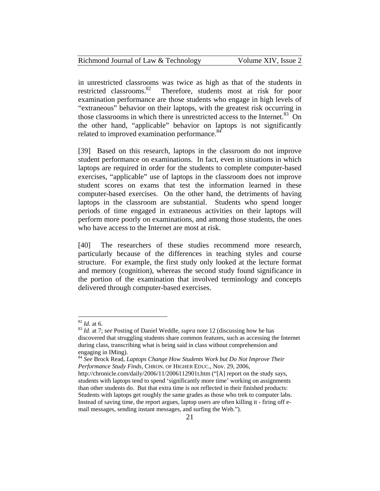| Richmond Journal of Law & Technology | Volume XIV, Issue 2 |
|--------------------------------------|---------------------|
|--------------------------------------|---------------------|

in unrestricted classrooms was twice as high as that of the students in restricted classrooms.<sup>82</sup> Therefore, students most at risk for poor examination performance are those students who engage in high levels of "extraneous" behavior on their laptops, with the greatest risk occurring in those classrooms in which there is unrestricted access to the Internet.<sup>83</sup> On the other hand, "applicable" behavior on laptops is not significantly related to improved examination performance.<sup>84</sup>

[39] Based on this research, laptops in the classroom do not improve student performance on examinations. In fact, even in situations in which laptops are required in order for the students to complete computer-based exercises, "applicable" use of laptops in the classroom does not improve student scores on exams that test the information learned in these computer-based exercises. On the other hand, the detriments of having laptops in the classroom are substantial. Students who spend longer periods of time engaged in extraneous activities on their laptops will perform more poorly on examinations, and among those students, the ones who have access to the Internet are most at risk.

[40] The researchers of these studies recommend more research, particularly because of the differences in teaching styles and course structure. For example, the first study only looked at the lecture format and memory (cognition), whereas the second study found significance in the portion of the examination that involved terminology and concepts delivered through computer-based exercises.

 $82$  *Id.* at 6.

<sup>&</sup>lt;sup>83</sup> *Id.* at 7; *see* Posting of Daniel Weddle, *supra* note 12 (discussing how he has discovered that struggling students share common features, such as accessing the Internet during class, transcribing what is being said in class without comprehension and engaging in IMing).

<sup>84</sup> *See* Brock Read, *Laptops Change How Students Work but Do Not Improve Their Performance Study Finds,* CHRON. OF HIGHER EDUC., Nov. 29, 2006,

http://chronicle.com/daily/2006/11/2006112901t.htm ("[A] report on the study says, students with laptops tend to spend 'significantly more time' working on assignments than other students do. But that extra time is not reflected in their finished products: Students with laptops get roughly the same grades as those who trek to computer labs. Instead of saving time, the report argues, laptop users are often killing it - firing off email messages, sending instant messages, and surfing the Web.").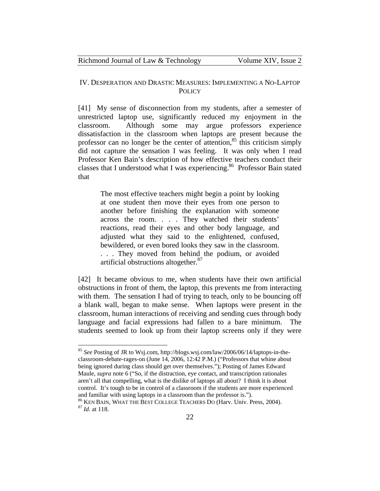Richmond Journal of Law & Technology Volume XIV, Issue 2

#### IV. DESPERATION AND DRASTIC MEASURES: IMPLEMENTING A NO-LAPTOP **POLICY**

[41] My sense of disconnection from my students, after a semester of unrestricted laptop use, significantly reduced my enjoyment in the classroom. Although some may argue professors experience dissatisfaction in the classroom when laptops are present because the professor can no longer be the center of attention,  $85$  this criticism simply did not capture the sensation I was feeling. It was only when I read Professor Ken Bain's description of how effective teachers conduct their classes that I understood what I was experiencing.<sup>86</sup> Professor Bain stated that

The most effective teachers might begin a point by looking at one student then move their eyes from one person to another before finishing the explanation with someone across the room. . . . They watched their students' reactions, read their eyes and other body language, and adjusted what they said to the enlightened, confused, bewildered, or even bored looks they saw in the classroom. . . . They moved from behind the podium, or avoided artificial obstructions altogether.<sup>87</sup>

[42] It became obvious to me, when students have their own artificial obstructions in front of them, the laptop, this prevents me from interacting with them. The sensation I had of trying to teach, only to be bouncing off a blank wall, began to make sense. When laptops were present in the classroom, human interactions of receiving and sending cues through body language and facial expressions had fallen to a bare minimum. The students seemed to look up from their laptop screens only if they were

<sup>85</sup> *See* Posting of JR to Wsj.com, http://blogs.wsj.com/law/2006/06/14/laptops-in-theclassroom-debate-rages-on (June 14, 2006, 12:42 P.M.) ("Professors that whine about being ignored during class should get over themselves."); Posting of James Edward Maule, *supra* note 6 ("So, if the distraction, eye contact, and transcription rationales aren't all that compelling, what is the dislike of laptops all about? I think it is about control. It's tough to be in control of a classroom if the students are more experienced and familiar with using laptops in a classroom than the professor is.").

<sup>86</sup> KEN BAIN, WHAT THE BEST COLLEGE TEACHERS DO (Harv. Univ. Press, 2004). 87 *Id*. at 118.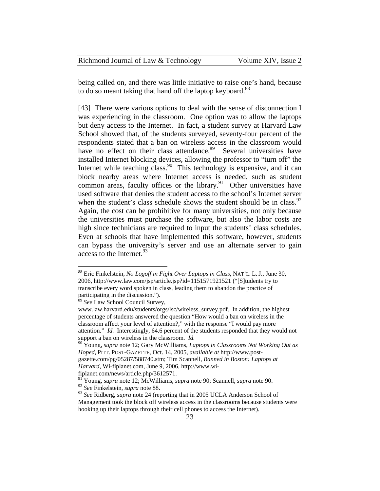| Richmond Journal of Law & Technology | Volume XIV, Issue 2 |
|--------------------------------------|---------------------|
|--------------------------------------|---------------------|

being called on, and there was little initiative to raise one's hand, because to do so meant taking that hand off the laptop keyboard.<sup>88</sup>

[43] There were various options to deal with the sense of disconnection I was experiencing in the classroom. One option was to allow the laptops but deny access to the Internet. In fact, a student survey at Harvard Law School showed that, of the students surveyed, seventy-four percent of the respondents stated that a ban on wireless access in the classroom would have no effect on their class attendance.<sup>89</sup> Several universities have installed Internet blocking devices, allowing the professor to "turn off" the Internet while teaching class.  $90$  This technology is expensive, and it can block nearby areas where Internet access is needed, such as student common areas, faculty offices or the library. $91$  Other universities have used software that denies the student access to the school's Internet server when the student's class schedule shows the student should be in class.  $92$ Again, the cost can be prohibitive for many universities, not only because the universities must purchase the software, but also the labor costs are high since technicians are required to input the students' class schedules. Even at schools that have implemented this software, however, students can bypass the university's server and use an alternate server to gain access to the Internet.<sup>93</sup>

<sup>89</sup> *See* Law School Council Survey,

 $\overline{a}$ 

fiplanet.com/news/article.php/3612571.

<sup>88</sup> Eric Finkelstein, *No Logoff in Fight Over Laptops in Class*, NAT'L. L. J., June 30, 2006, http://www.law.com/jsp/article.jsp?id=1151571921521 ("[S]tudents try to transcribe every word spoken in class, leading them to abandon the practice of participating in the discussion.").

www.law.harvard.edu/students/orgs/lsc/wireless\_survey.pdf. In addition, the highest percentage of students answered the question "How would a ban on wireless in the classroom affect your level of attention?," with the response "I would pay more attention." *Id.* Interestingly, 64.6 percent of the students responded that they would not support a ban on wireless in the classroom. *Id.*

<sup>90</sup> Young, *supra* note 12; Gary McWilliams, *Laptops in Classrooms Not Working Out as Hoped*, PITT. POST-GAZETTE, Oct. 14, 2005, *available at* http://www.postgazette.com/pg/05287/588740.stm; Tim Scannell, *Banned in Boston: Laptops at Harvard*, Wi-fiplanet.com, June 9, 2006, http://www.wi-

<sup>91</sup> Young, *supra* note 12; McWilliams, *supra* note 90; Scannell, *supra* note 90. <sup>92</sup> *See* Finkelstein, *supra* note 88.

<sup>93</sup> *See* Ridberg, *supra* note 24 (reporting that in 2005 UCLA Anderson School of Management took the block off wireless access in the classrooms because students were hooking up their laptops through their cell phones to access the Internet).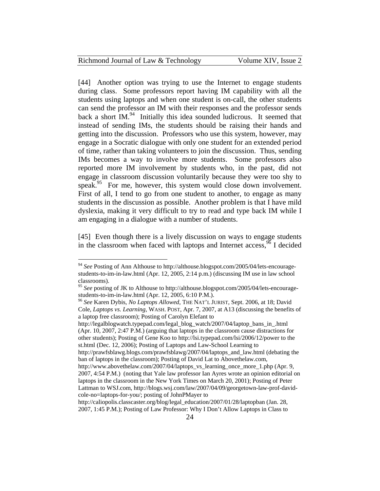| Richmond Journal of Law & Technology | Volume XIV, Issue 2 |
|--------------------------------------|---------------------|
|--------------------------------------|---------------------|

[44] Another option was trying to use the Internet to engage students during class. Some professors report having IM capability with all the students using laptops and when one student is on-call, the other students can send the professor an IM with their responses and the professor sends back a short  $IM^{94}$  Initially this idea sounded ludicrous. It seemed that instead of sending IMs, the students should be raising their hands and getting into the discussion. Professors who use this system, however, may engage in a Socratic dialogue with only one student for an extended period of time, rather than taking volunteers to join the discussion. Thus, sending IMs becomes a way to involve more students. Some professors also reported more IM involvement by students who, in the past, did not engage in classroom discussion voluntarily because they were too shy to speak. $95$  For me, however, this system would close down involvement. First of all, I tend to go from one student to another, to engage as many students in the discussion as possible. Another problem is that I have mild dyslexia, making it very difficult to try to read and type back IM while I am engaging in a dialogue with a number of students.

[45] Even though there is a lively discussion on ways to engage students in the classroom when faced with laptops and Internet access,  $^{96}$  I decided

 $\overline{a}$ 

http://legalblogwatch.typepad.com/legal\_blog\_watch/2007/04/laptop\_bans\_in\_.html (Apr. 10, 2007, 2:47 P.M.) (arguing that laptops in the classroom cause distractions for other students); Posting of Gene Koo to http://lsi.typepad.com/lsi/2006/12/power to the st.html (Dec. 12, 2006); Posting of Laptops and Law-School Learning to

http://prawfsblawg.blogs.com/prawfsblawg/2007/04/laptops\_and\_law.html (debating the ban of laptops in the classroom); Posting of David Lat to Abovethelaw.com,

<sup>94</sup> *See* Posting of Ann Althouse to http://althouse.blogspot.com/2005/04/lets-encouragestudents-to-im-in-law.html (Apr. 12, 2005, 2:14 p.m.) (discussing IM use in law school classrooms).

<sup>95</sup> *See* posting of JK to Althouse to http://althouse.blogspot.com/2005/04/lets-encouragestudents-to-im-in-law.html (Apr. 12, 2005, 6:10 P.M.).

<sup>96</sup> *See* Karen Dybis, *No Laptops Allowed*, THE NAT'L JURIST, Sept. 2006, at 18; David Cole, *Laptops vs. Learning*, WASH. POST, Apr. 7, 2007, at A13 (discussing the benefits of a laptop free classroom); Posting of Carolyn Elefant to

http://www.abovethelaw.com/2007/04/laptops\_vs\_learning\_once\_more\_1.php (Apr. 9, 2007, 4:54 P.M.) (noting that Yale law professor Ian Ayres wrote an opinion editorial on laptops in the classroom in the New York Times on March 20, 2001); Posting of Peter Lattman to WSJ.com, http://blogs.wsj.com/law/2007/04/09/georgetown-law-prof-davidcole-no=laptops-for-you/; posting of JohnPMayer to

http://caliopolis.classcaster.org/blog/legal\_education/2007/01/28/laptopban (Jan. 28, 2007, 1:45 P.M.); Posting of Law Professor: Why I Don't Allow Laptops in Class to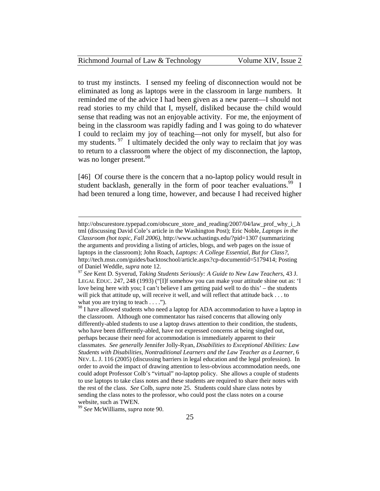| Richmond Journal of Law & Technology | Volume XIV, Issue 2 |
|--------------------------------------|---------------------|
|--------------------------------------|---------------------|

to trust my instincts. I sensed my feeling of disconnection would not be eliminated as long as laptops were in the classroom in large numbers. It reminded me of the advice I had been given as a new parent—I should not read stories to my child that I, myself, disliked because the child would sense that reading was not an enjoyable activity. For me, the enjoyment of being in the classroom was rapidly fading and I was going to do whatever I could to reclaim my joy of teaching—not only for myself, but also for my students.  $\frac{97}{1}$  I ultimately decided the only way to reclaim that joy was to return to a classroom where the object of my disconnection, the laptop, was no longer present.<sup>98</sup>

[46] Of course there is the concern that a no-laptop policy would result in student backlash, generally in the form of poor teacher evaluations.<sup>99</sup> I had been tenured a long time, however, and because I had received higher

<sup>99</sup> *See* McWilliams, *supra* note 90.

http://obscurestore.typepad.com/obscure\_store\_and\_reading/2007/04/law\_prof\_why\_i\_.h tml (discussing David Cole's article in the Washington Post); Eric Noble, *Laptops in the Classroom (hot topic, Fall 2006)*, http://www.uchastings.edu/?pid=1307 (summarizing the arguments and providing a listing of articles, blogs, and web pages on the issue of laptops in the classroom); John Roach, *Laptops: A College Essential, But for Class?*, http://tech.msn.com/guides/backtoschool/article.aspx?cp-documentid=5179414; Posting of Daniel Weddle, *supra* note 12. 97 *See* Kent D. Syverud, *Taking Students Seriously: A Guide to New Law Teachers*, 43 J.

LEGAL EDUC. 247, 248 (1993) ("[I]f somehow you can make your attitude shine out as: 'I love being here with you; I can't believe I am getting paid well to do this' – the students will pick that attitude up, will receive it well, and will reflect that attitude back . . . to what you are trying to teach  $\dots$ .").

<sup>&</sup>lt;sup>98</sup> I have allowed students who need a laptop for ADA accommodation to have a laptop in the classroom. Although one commentator has raised concerns that allowing only differently-abled students to use a laptop draws attention to their condition, the students, who have been differently-abled, have not expressed concerns at being singled out, perhaps because their need for accommodation is immediately apparent to their classmates. *See generally* Jennifer Jolly-Ryan, *Disabilities to Exceptional Abilities: Law Students with Disabilities, Nontraditional Learners and the Law Teacher as a Learner*, 6 NEV. L. J. 116 (2005) (discussing barriers in legal education and the legal profession). In order to avoid the impact of drawing attention to less-obvious accommodation needs, one could adopt Professor Colb's "virtual" no-laptop policy. She allows a couple of students to use laptops to take class notes and these students are required to share their notes with the rest of the class. *See* Colb, *supra* note 25. Students could share class notes by sending the class notes to the professor, who could post the class notes on a course website, such as TWEN.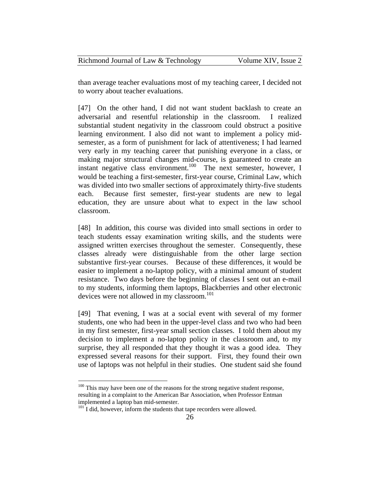| Richmond Journal of Law & Technology | Volume XIV, Issue 2 |  |
|--------------------------------------|---------------------|--|
|--------------------------------------|---------------------|--|

than average teacher evaluations most of my teaching career, I decided not to worry about teacher evaluations.

[47] On the other hand, I did not want student backlash to create an adversarial and resentful relationship in the classroom. I realized substantial student negativity in the classroom could obstruct a positive learning environment. I also did not want to implement a policy midsemester, as a form of punishment for lack of attentiveness; I had learned very early in my teaching career that punishing everyone in a class, or making major structural changes mid-course, is guaranteed to create an instant negative class environment.<sup>100</sup> The next semester, however, I would be teaching a first-semester, first-year course, Criminal Law, which was divided into two smaller sections of approximately thirty-five students each. Because first semester, first-year students are new to legal education, they are unsure about what to expect in the law school classroom.

[48] In addition, this course was divided into small sections in order to teach students essay examination writing skills, and the students were assigned written exercises throughout the semester. Consequently, these classes already were distinguishable from the other large section substantive first-year courses. Because of these differences, it would be easier to implement a no-laptop policy, with a minimal amount of student resistance. Two days before the beginning of classes I sent out an e-mail to my students, informing them laptops, Blackberries and other electronic devices were not allowed in my classroom.<sup>101</sup>

[49] That evening, I was at a social event with several of my former students, one who had been in the upper-level class and two who had been in my first semester, first-year small section classes. I told them about my decision to implement a no-laptop policy in the classroom and, to my surprise, they all responded that they thought it was a good idea. They expressed several reasons for their support. First, they found their own use of laptops was not helpful in their studies. One student said she found

 $100$  This may have been one of the reasons for the strong negative student response, resulting in a complaint to the American Bar Association, when Professor Entman implemented a laptop ban mid-semester.

 $101$  I did, however, inform the students that tape recorders were allowed.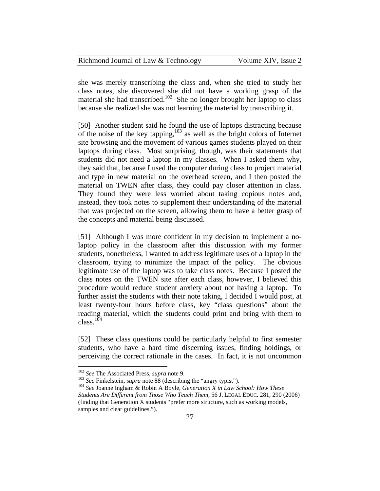| Richmond Journal of Law & Technology | Volume XIV, Issue 2 |
|--------------------------------------|---------------------|
|--------------------------------------|---------------------|

she was merely transcribing the class and, when she tried to study her class notes, she discovered she did not have a working grasp of the material she had transcribed.<sup>102</sup> She no longer brought her laptop to class because she realized she was not learning the material by transcribing it.

[50] Another student said he found the use of laptops distracting because of the noise of the key tapping,103 as well as the bright colors of Internet site browsing and the movement of various games students played on their laptops during class. Most surprising, though, was their statements that students did not need a laptop in my classes. When I asked them why, they said that, because I used the computer during class to project material and type in new material on the overhead screen, and I then posted the material on TWEN after class, they could pay closer attention in class. They found they were less worried about taking copious notes and, instead, they took notes to supplement their understanding of the material that was projected on the screen, allowing them to have a better grasp of the concepts and material being discussed.

[51] Although I was more confident in my decision to implement a nolaptop policy in the classroom after this discussion with my former students, nonetheless, I wanted to address legitimate uses of a laptop in the classroom, trying to minimize the impact of the policy. The obvious legitimate use of the laptop was to take class notes. Because I posted the class notes on the TWEN site after each class, however, I believed this procedure would reduce student anxiety about not having a laptop. To further assist the students with their note taking, I decided I would post, at least twenty-four hours before class, key "class questions" about the reading material, which the students could print and bring with them to  $class.<sup>104</sup>$ 

[52] These class questions could be particularly helpful to first semester students, who have a hard time discerning issues, finding holdings, or perceiving the correct rationale in the cases. In fact, it is not uncommon

<sup>&</sup>lt;sup>102</sup> See The Associated Press, *supra* note 9.

<sup>&</sup>lt;sup>103</sup> See Finkelstein, *supra* note  $\frac{88}{8}$  (describing the "angry typist").<br><sup>104</sup> See Joanne Ingham & Robin A Boyle, *Generation X in Law School: How These Students Are Different from Those Who Teach Them*, 56 J. LEGAL EDUC. 281, 290 (2006) (finding that Generation X students "prefer more structure, such as working models, samples and clear guidelines.").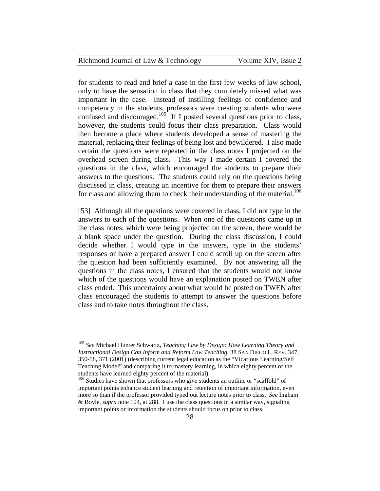| Richmond Journal of Law & Technology | Volume XIV, Issue 2 |
|--------------------------------------|---------------------|
|--------------------------------------|---------------------|

for students to read and brief a case in the first few weeks of law school, only to have the sensation in class that they completely missed what was important in the case. Instead of instilling feelings of confidence and competency in the students, professors were creating students who were confused and discouraged.<sup>105</sup> If I posted several questions prior to class, however, the students could focus their class preparation. Class would then become a place where students developed a sense of mastering the material, replacing their feelings of being lost and bewildered. I also made certain the questions were repeated in the class notes I projected on the overhead screen during class. This way I made certain I covered the questions in the class, which encouraged the students to prepare their answers to the questions. The students could rely on the questions being discussed in class, creating an incentive for them to prepare their answers for class and allowing them to check their understanding of the material.<sup>106</sup>

[53] Although all the questions were covered in class, I did not type in the answers to each of the questions. When one of the questions came up in the class notes, which were being projected on the screen, there would be a blank space under the question. During the class discussion, I could decide whether I would type in the answers, type in the students' responses or have a prepared answer I could scroll up on the screen after the question had been sufficiently examined. By not answering all the questions in the class notes, I ensured that the students would not know which of the questions would have an explanation posted on TWEN after class ended. This uncertainty about what would be posted on TWEN after class encouraged the students to attempt to answer the questions before class and to take notes throughout the class.

<sup>105</sup> *See* Michael Hunter Schwartz, *Teaching Law by Design: How Learning Theory and Instructional Design Can Inform and Reform Law Teaching*, 38 SAN DIEGO L. REV. 347, 350-58, 371 (2001) (describing current legal education as the "Vicarious Learning/Self Teaching Model" and comparing it to mastery learning, in which eighty percent of the students have learned eighty percent of the material).

<sup>&</sup>lt;sup>106</sup> Studies have shown that professors who give students an outline or "scaffold" of important points enhance student learning and retention of important information, even more so than if the professor provided typed out lecture notes prior to class. *See* Ingham & Boyle, *supra* note 104, at 288. I use the class questions in a similar way, signaling important points or information the students should focus on prior to class.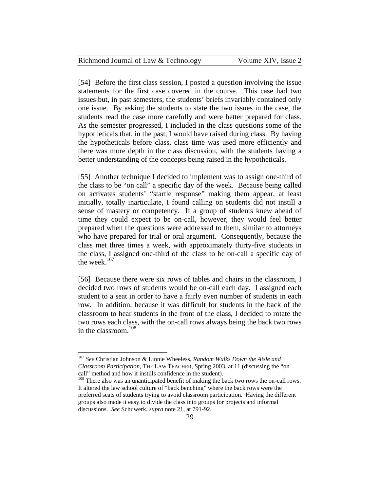| Richmond Journal of Law & Technology | Volume XIV, Issue 2 |
|--------------------------------------|---------------------|
|--------------------------------------|---------------------|

[54] Before the first class session, I posted a question involving the issue statements for the first case covered in the course. This case had two issues but, in past semesters, the students' briefs invariably contained only one issue. By asking the students to state the two issues in the case, the students read the case more carefully and were better prepared for class. As the semester progressed, I included in the class questions some of the hypotheticals that, in the past, I would have raised during class. By having the hypotheticals before class, class time was used more efficiently and there was more depth in the class discussion, with the students having a better understanding of the concepts being raised in the hypotheticals.

[55] Another technique I decided to implement was to assign one-third of the class to be "on call" a specific day of the week. Because being called on activates students' "startle response" making them appear, at least initially, totally inarticulate, I found calling on students did not instill a sense of mastery or competency. If a group of students knew ahead of time they could expect to be on-call, however, they would feel better prepared when the questions were addressed to them, similar to attorneys who have prepared for trial or oral argument. Consequently, because the class met three times a week, with approximately thirty-five students in the class, I assigned one-third of the class to be on-call a specific day of the week. $107$ 

[56] Because there were six rows of tables and chairs in the classroom, I decided two rows of students would be on-call each day. I assigned each student to a seat in order to have a fairly even number of students in each row. In addition, because it was difficult for students in the back of the classroom to hear students in the front of the class, I decided to rotate the two rows each class, with the on-call rows always being the back two rows in the classroom.<sup>108</sup>

<sup>107</sup> *See* Christian Johnson & Linnie Wheeless, *Random Walks Down the Aisle and Classroom Participation*, THE LAW TEACHER, Spring 2003, at 11 (discussing the "on call" method and how it instills confidence in the student). 108 There also was an unanticipated benefit of making the back two rows the on-call rows.

It altered the law school culture of "back benching" where the back rows were the preferred seats of students trying to avoid classroom participation. Having the different groups also made it easy to divide the class into groups for projects and informal discussions. *See* Schuwerk, *supra* note 21, at 791-92.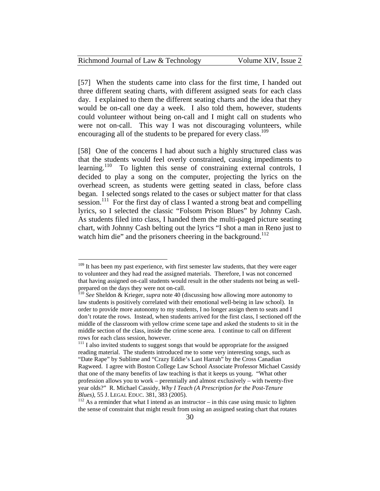| Richmond Journal of Law & Technology | Volume XIV, Issue 2 |
|--------------------------------------|---------------------|
|--------------------------------------|---------------------|

[57] When the students came into class for the first time, I handed out three different seating charts, with different assigned seats for each class day. I explained to them the different seating charts and the idea that they would be on-call one day a week. I also told them, however, students could volunteer without being on-call and I might call on students who were not on-call. This way I was not discouraging volunteers, while encouraging all of the students to be prepared for every class.<sup>109</sup>

[58] One of the concerns I had about such a highly structured class was that the students would feel overly constrained, causing impediments to learning.<sup>110</sup> To lighten this sense of constraining external controls, I decided to play a song on the computer, projecting the lyrics on the overhead screen, as students were getting seated in class, before class began. I selected songs related to the cases or subject matter for that class session.<sup>111</sup> For the first day of class I wanted a strong beat and compelling lyrics, so I selected the classic "Folsom Prison Blues" by Johnny Cash. As students filed into class, I handed them the multi-paged picture seating chart, with Johnny Cash belting out the lyrics "I shot a man in Reno just to watch him die" and the prisoners cheering in the background.<sup>112</sup>

<u>.</u>

 $109$  It has been my past experience, with first semester law students, that they were eager to volunteer and they had read the assigned materials. Therefore, I was not concerned that having assigned on-call students would result in the other students not being as wellprepared on the days they were not on-call.

<sup>110</sup> *See* Sheldon & Krieger, *supra* note 40 (discussing how allowing more autonomy to law students is positively correlated with their emotional well-being in law school). In order to provide more autonomy to my students, I no longer assign them to seats and I don't rotate the rows. Instead, when students arrived for the first class, I sectioned off the middle of the classroom with yellow crime scene tape and asked the students to sit in the middle section of the class, inside the crime scene area. I continue to call on different rows for each class session, however.

 $111$  I also invited students to suggest songs that would be appropriate for the assigned reading material. The students introduced me to some very interesting songs, such as "Date Rape" by Sublime and "Crazy Eddie's Last Harrah" by the Cross Canadian Ragweed. I agree with Boston College Law School Associate Professor Michael Cassidy that one of the many benefits of law teaching is that it keeps us young. "What other profession allows you to work – perennially and almost exclusively – with twenty-five year olds?" R. Michael Cassidy, *Why I Teach (A Prescription for the Post-Tenure Blues*), 55 J. LEGAL EDUC. 381, 383 (2005).<br><sup>112</sup> As a reminder that what I intend as an instructor – in this case using music to lighten

the sense of constraint that might result from using an assigned seating chart that rotates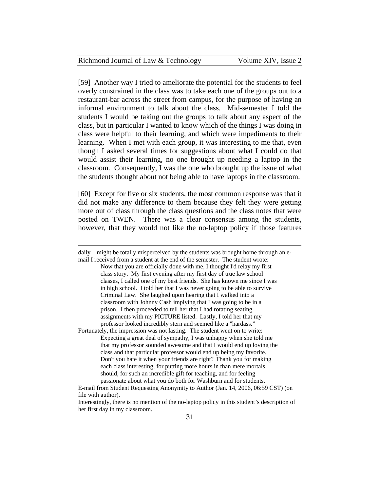| Richmond Journal of Law & Technology | Volume XIV, Issue 2 |
|--------------------------------------|---------------------|
|--------------------------------------|---------------------|

[59] Another way I tried to ameliorate the potential for the students to feel overly constrained in the class was to take each one of the groups out to a restaurant-bar across the street from campus, for the purpose of having an informal environment to talk about the class. Mid-semester I told the students I would be taking out the groups to talk about any aspect of the class, but in particular I wanted to know which of the things I was doing in class were helpful to their learning, and which were impediments to their learning. When I met with each group, it was interesting to me that, even though I asked several times for suggestions about what I could do that would assist their learning, no one brought up needing a laptop in the classroom. Consequently, I was the one who brought up the issue of what the students thought about not being able to have laptops in the classroom.

[60] Except for five or six students, the most common response was that it did not make any difference to them because they felt they were getting more out of class through the class questions and the class notes that were posted on TWEN. There was a clear consensus among the students, however, that they would not like the no-laptop policy if those features

daily – might be totally misperceived by the students was brought home through an e-

 $\overline{a}$ 

mail I received from a student at the end of the semester. The student wrote: Now that you are officially done with me, I thought I'd relay my first class story. My first evening after my first day of true law school classes, I called one of my best friends. She has known me since I was in high school. I told her that I was never going to be able to survive Criminal Law. She laughed upon hearing that I walked into a classroom with Johnny Cash implying that I was going to be in a prison. I then proceeded to tell her that I had rotating seating assignments with my PICTURE listed. Lastly, I told her that my professor looked incredibly stern and seemed like a "hardass."

Fortunately, the impression was not lasting. The student went on to write: Expecting a great deal of sympathy, I was unhappy when she told me that my professor sounded awesome and that I would end up loving the class and that particular professor would end up being my favorite. Don't you hate it when your friends are right? Thank you for making each class interesting, for putting more hours in than mere mortals should, for such an incredible gift for teaching, and for feeling passionate about what you do both for Washburn and for students.

E-mail from Student Requesting Anonymity to Author (Jan. 14, 2006, 06:59 CST) (on file with author).

Interestingly, there is no mention of the no-laptop policy in this student's description of her first day in my classroom.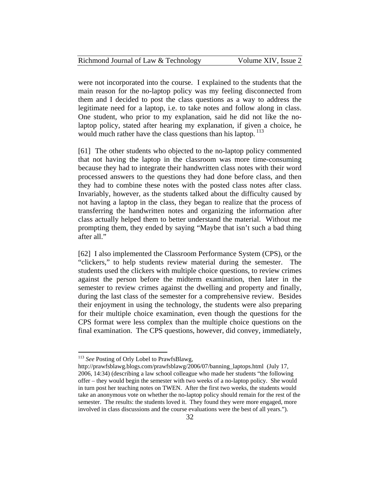| Richmond Journal of Law & Technology | Volume XIV, Issue 2 |
|--------------------------------------|---------------------|
|--------------------------------------|---------------------|

were not incorporated into the course. I explained to the students that the main reason for the no-laptop policy was my feeling disconnected from them and I decided to post the class questions as a way to address the legitimate need for a laptop, i.e. to take notes and follow along in class. One student, who prior to my explanation, said he did not like the nolaptop policy, stated after hearing my explanation, if given a choice, he would much rather have the class questions than his laptop.  $113$ 

[61] The other students who objected to the no-laptop policy commented that not having the laptop in the classroom was more time-consuming because they had to integrate their handwritten class notes with their word processed answers to the questions they had done before class, and then they had to combine these notes with the posted class notes after class. Invariably, however, as the students talked about the difficulty caused by not having a laptop in the class, they began to realize that the process of transferring the handwritten notes and organizing the information after class actually helped them to better understand the material. Without me prompting them, they ended by saying "Maybe that isn't such a bad thing after all."

[62] I also implemented the Classroom Performance System (CPS), or the "clickers," to help students review material during the semester. The students used the clickers with multiple choice questions, to review crimes against the person before the midterm examination, then later in the semester to review crimes against the dwelling and property and finally, during the last class of the semester for a comprehensive review. Besides their enjoyment in using the technology, the students were also preparing for their multiple choice examination, even though the questions for the CPS format were less complex than the multiple choice questions on the final examination. The CPS questions, however, did convey, immediately,

<sup>&</sup>lt;sup>113</sup> See Posting of Orly Lobel to PrawfsBlawg,

http://prawfsblawg.blogs.com/prawfsblawg/2006/07/banning\_laptops.html (July 17, 2006, 14:34) (describing a law school colleague who made her students "the following offer – they would begin the semester with two weeks of a no-laptop policy. She would in turn post her teaching notes on TWEN. After the first two weeks, the students would take an anonymous vote on whether the no-laptop policy should remain for the rest of the semester. The results: the students loved it. They found they were more engaged, more involved in class discussions and the course evaluations were the best of all years.").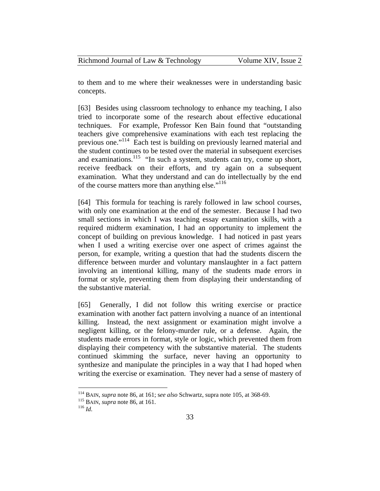| Richmond Journal of Law & Technology | Volume XIV, Issue 2 |
|--------------------------------------|---------------------|
|--------------------------------------|---------------------|

to them and to me where their weaknesses were in understanding basic concepts.

[63] Besides using classroom technology to enhance my teaching, I also tried to incorporate some of the research about effective educational techniques. For example, Professor Ken Bain found that "outstanding teachers give comprehensive examinations with each test replacing the previous one."114 Each test is building on previously learned material and the student continues to be tested over the material in subsequent exercises and examinations.<sup>115</sup> "In such a system, students can try, come up short, receive feedback on their efforts, and try again on a subsequent examination. What they understand and can do intellectually by the end of the course matters more than anything else."<sup>116</sup>

[64] This formula for teaching is rarely followed in law school courses, with only one examination at the end of the semester. Because I had two small sections in which I was teaching essay examination skills, with a required midterm examination, I had an opportunity to implement the concept of building on previous knowledge. I had noticed in past years when I used a writing exercise over one aspect of crimes against the person, for example, writing a question that had the students discern the difference between murder and voluntary manslaughter in a fact pattern involving an intentional killing, many of the students made errors in format or style, preventing them from displaying their understanding of the substantive material.

[65] Generally, I did not follow this writing exercise or practice examination with another fact pattern involving a nuance of an intentional killing. Instead, the next assignment or examination might involve a negligent killing, or the felony-murder rule, or a defense. Again, the students made errors in format, style or logic, which prevented them from displaying their competency with the substantive material. The students continued skimming the surface, never having an opportunity to synthesize and manipulate the principles in a way that I had hoped when writing the exercise or examination. They never had a sense of mastery of

<sup>114</sup> BAIN, *supra* note 86, at 161; s*ee also* Schwartz, supra note 105, at 368-69. 115 BAIN, *supra* note 86, at 161. 116 *Id*.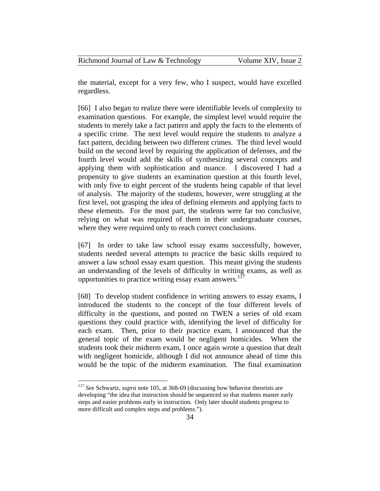| Richmond Journal of Law & Technology | Volume XIV, Issue 2 |
|--------------------------------------|---------------------|
|--------------------------------------|---------------------|

the material, except for a very few, who I suspect, would have excelled regardless.

[66] I also began to realize there were identifiable levels of complexity to examination questions. For example, the simplest level would require the students to merely take a fact pattern and apply the facts to the elements of a specific crime. The next level would require the students to analyze a fact pattern, deciding between two different crimes. The third level would build on the second level by requiring the application of defenses, and the fourth level would add the skills of synthesizing several concepts and applying them with sophistication and nuance. I discovered I had a propensity to give students an examination question at this fourth level, with only five to eight percent of the students being capable of that level of analysis. The majority of the students, however, were struggling at the first level, not grasping the idea of defining elements and applying facts to these elements. For the most part, the students were far too conclusive, relying on what was required of them in their undergraduate courses, where they were required only to reach correct conclusions.

[67] In order to take law school essay exams successfully, however, students needed several attempts to practice the basic skills required to answer a law school essay exam question. This meant giving the students an understanding of the levels of difficulty in writing exams, as well as opportunities to practice writing essay exam answers. $117$ 

[68] To develop student confidence in writing answers to essay exams, I introduced the students to the concept of the four different levels of difficulty in the questions, and posted on TWEN a series of old exam questions they could practice with, identifying the level of difficulty for each exam. Then, prior to their practice exam, I announced that the general topic of the exam would be negligent homicides. When the students took their midterm exam, I once again wrote a question that dealt with negligent homicide, although I did not announce ahead of time this would be the topic of the midterm examination. The final examination

<sup>117</sup> *See* Schwartz, *supra* note 105, at 368-69 (discussing how behavior theorists are developing "the idea that instruction should be sequenced so that students master early steps and easier problems early in instruction. Only later should students progress to more difficult and complex steps and problems.").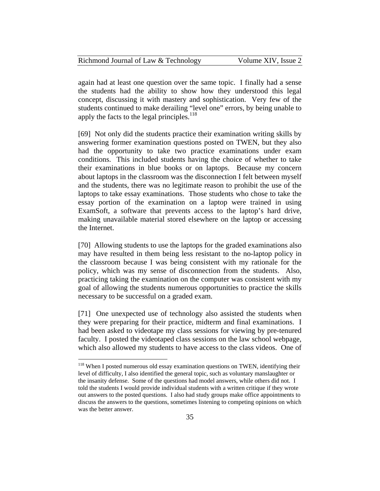| Richmond Journal of Law & Technology | Volume XIV, Issue 2 |
|--------------------------------------|---------------------|
|--------------------------------------|---------------------|

again had at least one question over the same topic. I finally had a sense the students had the ability to show how they understood this legal concept, discussing it with mastery and sophistication. Very few of the students continued to make derailing "level one" errors, by being unable to apply the facts to the legal principles.<sup>118</sup>

[69] Not only did the students practice their examination writing skills by answering former examination questions posted on TWEN, but they also had the opportunity to take two practice examinations under exam conditions. This included students having the choice of whether to take their examinations in blue books or on laptops. Because my concern about laptops in the classroom was the disconnection I felt between myself and the students, there was no legitimate reason to prohibit the use of the laptops to take essay examinations. Those students who chose to take the essay portion of the examination on a laptop were trained in using ExamSoft, a software that prevents access to the laptop's hard drive, making unavailable material stored elsewhere on the laptop or accessing the Internet.

[70] Allowing students to use the laptops for the graded examinations also may have resulted in them being less resistant to the no-laptop policy in the classroom because I was being consistent with my rationale for the policy, which was my sense of disconnection from the students. Also, practicing taking the examination on the computer was consistent with my goal of allowing the students numerous opportunities to practice the skills necessary to be successful on a graded exam.

[71] One unexpected use of technology also assisted the students when they were preparing for their practice, midterm and final examinations. I had been asked to videotape my class sessions for viewing by pre-tenured faculty. I posted the videotaped class sessions on the law school webpage, which also allowed my students to have access to the class videos. One of

<sup>&</sup>lt;sup>118</sup> When I posted numerous old essay examination questions on TWEN, identifying their level of difficulty, I also identified the general topic, such as voluntary manslaughter or the insanity defense. Some of the questions had model answers, while others did not. I told the students I would provide individual students with a written critique if they wrote out answers to the posted questions. I also had study groups make office appointments to discuss the answers to the questions, sometimes listening to competing opinions on which was the better answer.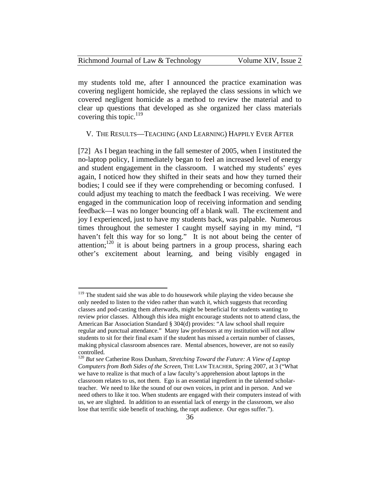| Richmond Journal of Law & Technology | Volume XIV, Issue 2 |
|--------------------------------------|---------------------|
|--------------------------------------|---------------------|

my students told me, after I announced the practice examination was covering negligent homicide, she replayed the class sessions in which we covered negligent homicide as a method to review the material and to clear up questions that developed as she organized her class materials covering this topic. $119$ 

#### V. THE RESULTS—TEACHING (AND LEARNING) HAPPILY EVER AFTER

[72] As I began teaching in the fall semester of 2005, when I instituted the no-laptop policy, I immediately began to feel an increased level of energy and student engagement in the classroom. I watched my students' eyes again, I noticed how they shifted in their seats and how they turned their bodies; I could see if they were comprehending or becoming confused. I could adjust my teaching to match the feedback I was receiving. We were engaged in the communication loop of receiving information and sending feedback—I was no longer bouncing off a blank wall. The excitement and joy I experienced, just to have my students back, was palpable. Numerous times throughout the semester I caught myself saying in my mind, "I haven't felt this way for so long." It is not about being the center of attention;<sup>120</sup> it is about being partners in a group process, sharing each other's excitement about learning, and being visibly engaged in

<sup>&</sup>lt;sup>119</sup> The student said she was able to do housework while playing the video because she only needed to listen to the video rather than watch it, which suggests that recording classes and pod-casting them afterwards, might be beneficial for students wanting to review prior classes. Although this idea might encourage students not to attend class, the American Bar Association Standard § 304(d) provides: "A law school shall require regular and punctual attendance." Many law professors at my institution will not allow students to sit for their final exam if the student has missed a certain number of classes, making physical classroom absences rare. Mental absences, however, are not so easily controlled.

<sup>120</sup> *But* s*ee* Catherine Ross Dunham, *Stretching Toward the Future: A View of Laptop Computers from Both Sides of the Screen*, THE LAW TEACHER, Spring 2007, at 3 ("What we have to realize is that much of a law faculty's apprehension about laptops in the classroom relates to us, not them. Ego is an essential ingredient in the talented scholarteacher. We need to like the sound of our own voices, in print and in person. And we need others to like it too. When students are engaged with their computers instead of with us, we are slighted. In addition to an essential lack of energy in the classroom, we also lose that terrific side benefit of teaching, the rapt audience. Our egos suffer.").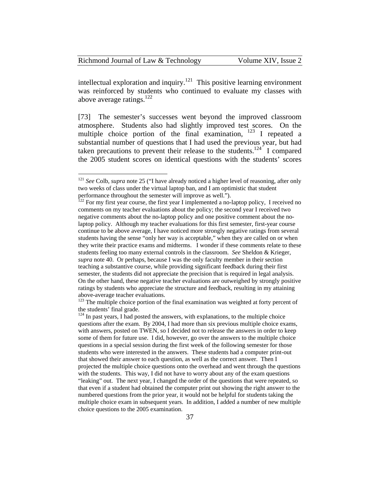| Richmond Journal of Law & Technology |  |
|--------------------------------------|--|
|--------------------------------------|--|

 $\overline{a}$ 

intellectual exploration and inquiry.<sup>121</sup> This positive learning environment was reinforced by students who continued to evaluate my classes with above average ratings. $^{122}$ 

[73] The semester's successes went beyond the improved classroom atmosphere. Students also had slightly improved test scores. On the multiple choice portion of the final examination, 123 I repeated a substantial number of questions that I had used the previous year, but had taken precautions to prevent their release to the students.<sup>124</sup> I compared the 2005 student scores on identical questions with the students' scores

<sup>123</sup> The multiple choice portion of the final examination was weighted at forty percent of the students' final grade.

<sup>121</sup> *See* Colb, *supra* note 25 ("I have already noticed a higher level of reasoning, after only two weeks of class under the virtual laptop ban, and I am optimistic that student performance throughout the semester will improve as well.").<br><sup>122</sup> For my first year course, the first year I implemented a no-laptop policy, I received no

comments on my teacher evaluations about the policy; the second year I received two negative comments about the no-laptop policy and one positive comment about the nolaptop policy. Although my teacher evaluations for this first semester, first-year course continue to be above average, I have noticed more strongly negative ratings from several students having the sense "only her way is acceptable," when they are called on or when they write their practice exams and midterms. I wonder if these comments relate to these students feeling too many external controls in the classroom. *See* Sheldon & Krieger, *supra* note 40. Or perhaps, because I was the only faculty member in their section teaching a substantive course, while providing significant feedback during their first semester, the students did not appreciate the precision that is required in legal analysis. On the other hand, these negative teacher evaluations are outweighed by strongly positive ratings by students who appreciate the structure and feedback, resulting in my attaining above-average teacher evaluations.

 $124$  In past years, I had posted the answers, with explanations, to the multiple choice questions after the exam. By 2004, I had more than six previous multiple choice exams, with answers, posted on TWEN, so I decided not to release the answers in order to keep some of them for future use. I did, however, go over the answers to the multiple choice questions in a special session during the first week of the following semester for those students who were interested in the answers. These students had a computer print-out that showed their answer to each question, as well as the correct answer. Then I projected the multiple choice questions onto the overhead and went through the questions with the students. This way, I did not have to worry about any of the exam questions "leaking" out. The next year, I changed the order of the questions that were repeated, so that even if a student had obtained the computer print out showing the right answer to the numbered questions from the prior year, it would not be helpful for students taking the multiple choice exam in subsequent years. In addition, I added a number of new multiple choice questions to the 2005 examination.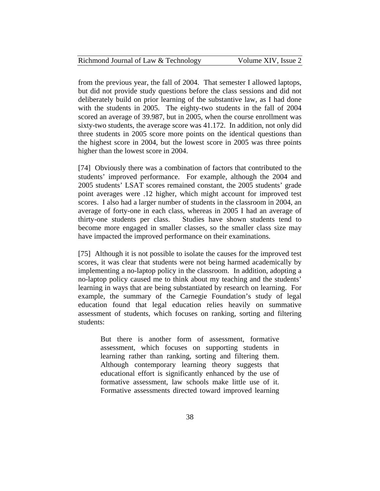| Richmond Journal of Law & Technology | Volume XIV, Issue 2 |
|--------------------------------------|---------------------|
|--------------------------------------|---------------------|

from the previous year, the fall of 2004. That semester I allowed laptops, but did not provide study questions before the class sessions and did not deliberately build on prior learning of the substantive law, as I had done with the students in 2005. The eighty-two students in the fall of 2004 scored an average of 39.987, but in 2005, when the course enrollment was sixty-two students, the average score was 41.172. In addition, not only did three students in 2005 score more points on the identical questions than the highest score in 2004, but the lowest score in 2005 was three points higher than the lowest score in 2004.

[74] Obviously there was a combination of factors that contributed to the students' improved performance. For example, although the 2004 and 2005 students' LSAT scores remained constant, the 2005 students' grade point averages were .12 higher, which might account for improved test scores. I also had a larger number of students in the classroom in 2004, an average of forty-one in each class, whereas in 2005 I had an average of thirty-one students per class. Studies have shown students tend to become more engaged in smaller classes, so the smaller class size may have impacted the improved performance on their examinations.

[75] Although it is not possible to isolate the causes for the improved test scores, it was clear that students were not being harmed academically by implementing a no-laptop policy in the classroom. In addition, adopting a no-laptop policy caused me to think about my teaching and the students' learning in ways that are being substantiated by research on learning. For example, the summary of the Carnegie Foundation's study of legal education found that legal education relies heavily on summative assessment of students, which focuses on ranking, sorting and filtering students:

But there is another form of assessment, formative assessment, which focuses on supporting students in learning rather than ranking, sorting and filtering them. Although contemporary learning theory suggests that educational effort is significantly enhanced by the use of formative assessment, law schools make little use of it. Formative assessments directed toward improved learning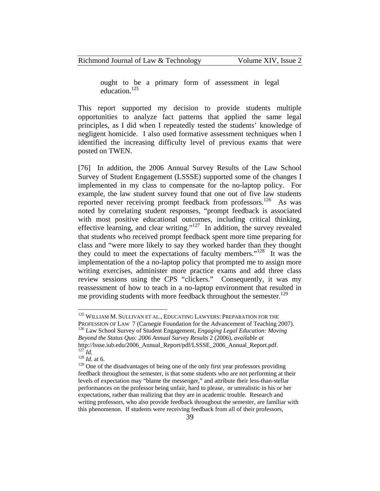ought to be a primary form of assessment in legal education.125

This report supported my decision to provide students multiple opportunities to analyze fact patterns that applied the same legal principles, as I did when I repeatedly tested the students' knowledge of negligent homicide. I also used formative assessment techniques when I identified the increasing difficulty level of previous exams that were posted on TWEN.

[76] In addition, the 2006 Annual Survey Results of the Law School Survey of Student Engagement (LSSSE) supported some of the changes I implemented in my class to compensate for the no-laptop policy. For example, the law student survey found that one out of five law students reported never receiving prompt feedback from professors.<sup>126</sup> As was noted by correlating student responses, "prompt feedback is associated with most positive educational outcomes, including critical thinking, effective learning, and clear writing."127 In addition, the survey revealed that students who received prompt feedback spent more time preparing for class and "were more likely to say they worked harder than they thought they could to meet the expectations of faculty members."128 It was the implementation of the a no-laptop policy that prompted me to assign more writing exercises, administer more practice exams and add three class review sessions using the CPS "clickers." Consequently, it was my reassessment of how to teach in a no-laptop environment that resulted in me providing students with more feedback throughout the semester.<sup>129</sup>

<sup>&</sup>lt;sup>125</sup> WILLIAM M. SULLIVAN ET AL., EDUCATING LAWYERS: PREPARATION FOR THE PROFESSION OF LAW 7 (Carnegie Foundation for the Advancement of Teaching 2007). 126 Law School Survey of Student Engagement, *Engaging Legal Education: Moving Beyond the Status Quo: 2006 Annual Survey Results* 2 (2006), *available at* http://lssse.iub.edu/2006\_Annual\_Report/pdf/LSSSE\_2006\_Annual\_Report.pdf. 127 *Id*. 128 *Id*. at 6.

<sup>&</sup>lt;sup>129</sup> One of the disadvantages of being one of the only first year professors providing feedback throughout the semester, is that some students who are not performing at their levels of expectation may "blame the messenger," and attribute their less-than-stellar performances on the professor being unfair, hard to please, or unrealistic in his or her expectations, rather than realizing that they are in academic trouble. Research and writing professors, who also provide feedback throughout the semester, are familiar with this phenomenon. If students were receiving feedback from all of their professors,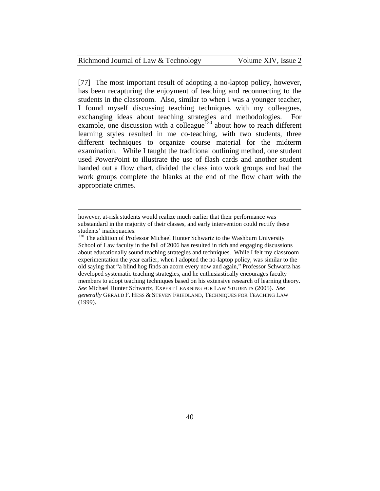| Richmond Journal of Law & Technology |  |  |
|--------------------------------------|--|--|
|--------------------------------------|--|--|

1

[77] The most important result of adopting a no-laptop policy, however, has been recapturing the enjoyment of teaching and reconnecting to the students in the classroom. Also, similar to when I was a younger teacher, I found myself discussing teaching techniques with my colleagues, exchanging ideas about teaching strategies and methodologies. For example, one discussion with a colleague<sup>130</sup> about how to reach different learning styles resulted in me co-teaching, with two students, three different techniques to organize course material for the midterm examination. While I taught the traditional outlining method, one student used PowerPoint to illustrate the use of flash cards and another student handed out a flow chart, divided the class into work groups and had the work groups complete the blanks at the end of the flow chart with the appropriate crimes.

however, at-risk students would realize much earlier that their performance was substandard in the majority of their classes, and early intervention could rectify these students' inadequacies.

<sup>&</sup>lt;sup>130</sup> The addition of Professor Michael Hunter Schwartz to the Washburn University School of Law faculty in the fall of 2006 has resulted in rich and engaging discussions about educationally sound teaching strategies and techniques. While I felt my classroom experimentation the year earlier, when I adopted the no-laptop policy, was similar to the old saying that "a blind hog finds an acorn every now and again," Professor Schwartz has developed systematic teaching strategies, and he enthusiastically encourages faculty members to adopt teaching techniques based on his extensive research of learning theory. *See* Michael Hunter Schwartz, EXPERT LEARNING FOR LAW STUDENTS (2005). *See generally* GERALD F. HESS & STEVEN FRIEDLAND, TECHNIQUES FOR TEACHING LAW (1999).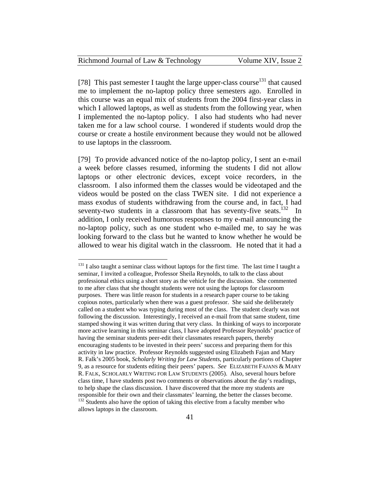| Richmond Journal of Law & Technology | Volume XIV, Issue 2 |
|--------------------------------------|---------------------|
|--------------------------------------|---------------------|

[78] This past semester I taught the large upper-class course<sup>131</sup> that caused me to implement the no-laptop policy three semesters ago. Enrolled in this course was an equal mix of students from the 2004 first-year class in which I allowed laptops, as well as students from the following year, when I implemented the no-laptop policy. I also had students who had never taken me for a law school course. I wondered if students would drop the course or create a hostile environment because they would not be allowed to use laptops in the classroom.

[79] To provide advanced notice of the no-laptop policy, I sent an e-mail a week before classes resumed, informing the students I did not allow laptops or other electronic devices, except voice recorders, in the classroom. I also informed them the classes would be videotaped and the videos would be posted on the class TWEN site. I did not experience a mass exodus of students withdrawing from the course and, in fact, I had seventy-two students in a classroom that has seventy-five seats.<sup>132</sup> In addition, I only received humorous responses to my e-mail announcing the no-laptop policy, such as one student who e-mailed me, to say he was looking forward to the class but he wanted to know whether he would be allowed to wear his digital watch in the classroom. He noted that it had a

<u>.</u>

<sup>&</sup>lt;sup>131</sup> I also taught a seminar class without laptops for the first time. The last time I taught a seminar, I invited a colleague, Professor Sheila Reynolds, to talk to the class about professional ethics using a short story as the vehicle for the discussion. She commented to me after class that she thought students were not using the laptops for classroom purposes. There was little reason for students in a research paper course to be taking copious notes, particularly when there was a guest professor. She said she deliberately called on a student who was typing during most of the class. The student clearly was not following the discussion. Interestingly, I received an e-mail from that same student, time stamped showing it was written during that very class. In thinking of ways to incorporate more active learning in this seminar class, I have adopted Professor Reynolds' practice of having the seminar students peer-edit their classmates research papers, thereby encouraging students to be invested in their peers' success and preparing them for this activity in law practice. Professor Reynolds suggested using Elizabeth Fajan and Mary R. Falk's 2005 book, *Scholarly Writing for Law Students*, particularly portions of Chapter 9, as a resource for students editing their peers' papers. *See* ELIZABETH FAJANS & MARY R. FALK, SCHOLARLY WRITING FOR LAW STUDENTS (2005). Also, several hours before class time, I have students post two comments or observations about the day's readings, to help shape the class discussion. I have discovered that the more my students are responsible for their own and their classmates' learning, the better the classes become.  $132$  Students also have the option of taking this elective from a faculty member who allows laptops in the classroom.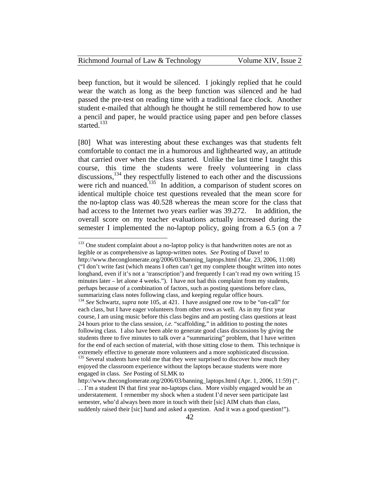| Richmond Journal of Law & Technology | Volume XIV, Issue 2 |
|--------------------------------------|---------------------|
|--------------------------------------|---------------------|

beep function, but it would be silenced. I jokingly replied that he could wear the watch as long as the beep function was silenced and he had passed the pre-test on reading time with a traditional face clock. Another student e-mailed that although he thought he still remembered how to use a pencil and paper, he would practice using paper and pen before classes started.<sup>133</sup>

[80] What was interesting about these exchanges was that students felt comfortable to contact me in a humorous and lighthearted way, an attitude that carried over when the class started. Unlike the last time I taught this course, this time the students were freely volunteering in class discussions,<sup>134</sup> they respectfully listened to each other and the discussions were rich and nuanced.<sup>135</sup> In addition, a comparison of student scores on identical multiple choice test questions revealed that the mean score for the no-laptop class was 40.528 whereas the mean score for the class that had access to the Internet two years earlier was 39.272. In addition, the overall score on my teacher evaluations actually increased during the semester I implemented the no-laptop policy, going from a 6.5 (on a 7

<sup>&</sup>lt;sup>133</sup> One student complaint about a no-laptop policy is that handwritten notes are not as legible or as comprehensive as laptop-written notes. *See* Posting of Dave! to http://www.theconglomerate.org/2006/03/banning\_laptops.html (Mar. 23, 2006, 11:08) ("I don't write fast (which means I often can't get my complete thought written into notes longhand, even if it's not a 'transcription') and frequently I can't read my own writing 15 minutes later – let alone 4 weeks."). I have not had this complaint from my students, perhaps because of a combination of factors, such as posting questions before class, summarizing class notes following class, and keeping regular office hours.

<sup>134</sup> *See* Schwartz, *supra* note 105, at 421. I have assigned one row to be "on-call" for each class, but I have eager volunteers from other rows as well. As in my first year course, I am using music before this class begins and am posting class questions at least 24 hours prior to the class session, *i.e.* "scaffolding," in addition to posting the notes following class. I also have been able to generate good class discussions by giving the students three to five minutes to talk over a "summarizing" problem, that I have written for the end of each section of material, with those sitting close to them. This technique is extremely effective to generate more volunteers and a more sophisticated discussion.  $135$  Several students have told me that they were surprised to discover how much they enjoyed the classroom experience without the laptops because students were more engaged in class. *See* Posting of SLMK to

http://www.theconglomerate.org/2006/03/banning\_laptops.html (Apr. 1, 2006, 11:59) (". . . I'm a student IN that first year no-laptops class. More visibly engaged would be an understatement. I remember my shock when a student I'd never seen participate last semester, who'd always been more in touch with their [sic] AIM chats than class, suddenly raised their [sic] hand and asked a question. And it was a good question!").